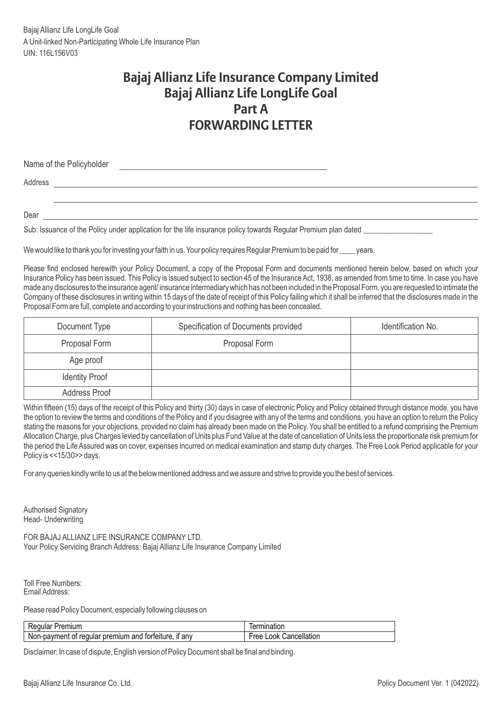# **Bajaj Allianz Life Insurance Company Limited Bajaj Allianz Life LongLife Goal Part A FORWARDING LETTER**

Name of the Policyholder <u>examed and control the Policyholder</u>

Address and the state of the state of the state of the state of the state of the state of the state of the state of the state of the state of the state of the state of the state of the state of the state of the state of th

Dear

Sub: Issuance of the Policy under application for the life insurance policy towards Regular Premium plan dated

We would like to thank you for investing your faith in us. Your policy requires Reqular Premium to be paid for vears.

Please find enclosed herewith your Policy Document, a copy of the Proposal Form and documents mentioned herein below, based on which your Insurance Policy has been issued. This Policy is issued subject to section 45 of the Insurance Act, 1938, as amended from time to time. In case you have made any disclosures to the insurance agent/ insurance intermediary which has not been included in the Proposal Form, you are requested to intimate the Company of these disclosures in writing within 15 days of the date of receipt of this Policy failing which it shall be inferred that the disclosures made in the Proposal Form are full, complete and according to your instructions and nothing has been concealed.

| Document Type         | Specification of Documents provided | Identification No. |
|-----------------------|-------------------------------------|--------------------|
| Proposal Form         | Proposal Form                       |                    |
| Age proof             |                                     |                    |
| <b>Identity Proof</b> |                                     |                    |
| <b>Address Proof</b>  |                                     |                    |

Within fifteen (15) days of the receipt of this Policy and thirty (30) days in case of electronic Policy and Policy obtained through distance mode, you have the option to review the terms and conditions of the Policy and if you disagree with any of the terms and conditions, you have an option to return the Policy stating the reasons for your objections, provided no claim has already been made on the Policy. You shall be entitled to a refund comprising the Premium Allocation Charge, plus Charges levied by cancellation of Units plus Fund Value at the date of cancellation of Units less the proportionate risk premium for the period the Life Assured was on cover, expenses incurred on medical examination and stamp duty charges. The Free Look Period applicable for your Policy is <<15/30>> days.

For any queries kindly write to us at the below mentioned address and we assure and strive to provide you the best of services.

Authorised Signatory Head- Underwriting

FOR BAJAJ ALLIANZ LIFE INSURANCE COMPANY LTD. Your Policy Servicing Branch Address: Bajaj Allianz Life Insurance Company Limited

Toll Free Numbers: Email Address:

Please read Policy Document, especially following clauses on

| Premium<br>$-2$<br><b>Reuuldi</b>                                               | lermination                 |
|---------------------------------------------------------------------------------|-----------------------------|
| anc<br>premium<br>anv<br>ment<br>forfeiture.<br>regular<br>งท-pavr<br>٨I٢<br>ΟI | Cancellation<br>ree.<br>ook |

Disclaimer: In case of dispute, English version of Policy Document shall be final and binding.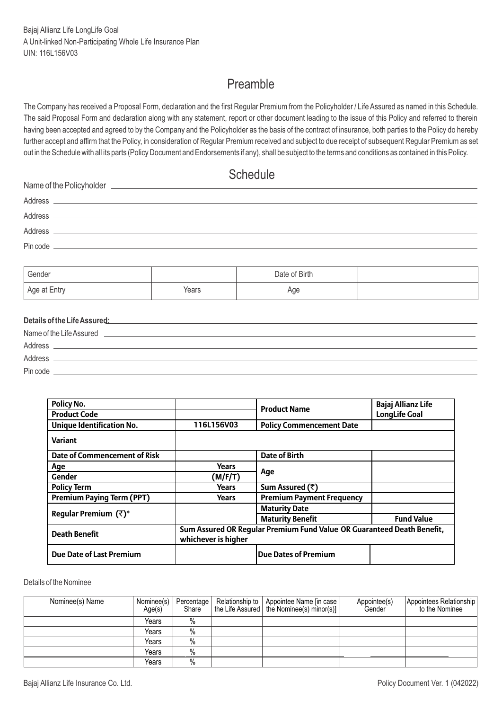## Preamble

The Company has received a Proposal Form, declaration and the first Regular Premium from the Policyholder / Life Assured as named in this Schedule. The said Proposal Form and declaration along with any statement, report or other document leading to the issue of this Policy and referred to therein having been accepted and agreed to by the Company and the Policyholder as the basis of the contract of insurance, both parties to the Policy do hereby further accept and affirm that the Policy, in consideration of Regular Premium received and subject to due receipt of subsequent Regular Premium as set out in the Schedule with all its parts (Policy Document and Endorsements if any), shall be subject to the terms and conditions as contained in this Policy.

## **Schedule**

| Name of the Policyholder | ------- |  |
|--------------------------|---------|--|
|                          |         |  |
| Address                  |         |  |
| Address _                |         |  |
| Pin code                 |         |  |

| Gender       |       | Date of Birth |  |
|--------------|-------|---------------|--|
| Age at Entry | Years | Age           |  |

#### **Details of the Life Assured:**

| Name of the Life Assured |  |  |
|--------------------------|--|--|
| Address                  |  |  |
| Address                  |  |  |
| Pin code                 |  |  |

| <b>Policy No.</b><br><b>Product Code</b> |                                                                                               | <b>Product Name</b>              | <b>Bajaj Allianz Life</b><br><b>LongLife Goal</b> |  |  |
|------------------------------------------|-----------------------------------------------------------------------------------------------|----------------------------------|---------------------------------------------------|--|--|
| <b>Unique Identification No.</b>         | 116L156V03                                                                                    | <b>Policy Commencement Date</b>  |                                                   |  |  |
| <b>Variant</b>                           |                                                                                               |                                  |                                                   |  |  |
| Date of Commencement of Risk             |                                                                                               | <b>Date of Birth</b>             |                                                   |  |  |
| Age                                      | Years                                                                                         |                                  |                                                   |  |  |
| <b>Gender</b>                            | (M/F/T)                                                                                       | Age                              |                                                   |  |  |
| <b>Policy Term</b>                       | Sum Assured (₹)<br>Years                                                                      |                                  |                                                   |  |  |
| <b>Premium Paying Term (PPT)</b>         | <b>Years</b>                                                                                  | <b>Premium Payment Frequency</b> |                                                   |  |  |
| Reqular Premium $(3^*)^*$                |                                                                                               | <b>Maturity Date</b>             |                                                   |  |  |
|                                          |                                                                                               | <b>Maturity Benefit</b>          | <b>Fund Value</b>                                 |  |  |
| <b>Death Benefit</b>                     | Sum Assured OR Regular Premium Fund Value OR Guaranteed Death Benefit,<br>whichever is higher |                                  |                                                   |  |  |
| <b>Due Date of Last Premium</b>          |                                                                                               | <b>Due Dates of Premium</b>      |                                                   |  |  |

Details of the Nominee

| Nominee(s) Name | Nominee(s)<br>Age(s) | Percentage<br>Share | Relationship to   Appointee Name [in case<br>the Life Assured   the Nominee(s) minor(s)] | Appointee(s)<br>Gender | Appointees Relationship<br>to the Nominee |
|-----------------|----------------------|---------------------|------------------------------------------------------------------------------------------|------------------------|-------------------------------------------|
|                 | Years                | $\%$                |                                                                                          |                        |                                           |
|                 | Years                | %                   |                                                                                          |                        |                                           |
|                 | Years                | $\%$                |                                                                                          |                        |                                           |
|                 | Years                | $\%$                |                                                                                          |                        |                                           |
|                 | Years                | %                   |                                                                                          |                        |                                           |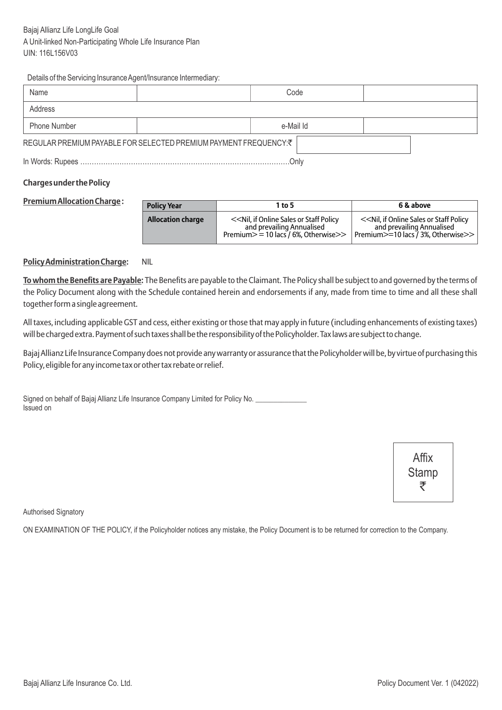Details of the Servicing Insurance Agent/Insurance Intermediary:

| Name                                                              |  | Code      |  |  |  |  |
|-------------------------------------------------------------------|--|-----------|--|--|--|--|
| Address                                                           |  |           |  |  |  |  |
| <b>Phone Number</b>                                               |  | e-Mail Id |  |  |  |  |
| REGULAR PREMIUM PAYABLE FOR SELECTED PREMIUM PAYMENT FREQUENCY: ₹ |  |           |  |  |  |  |
| Only                                                              |  |           |  |  |  |  |

#### **Charges under the Policy**

#### **Premium Allocation Charge :**

| <b>Policy Year</b>       | 1 to 5                                                                                                                                                                | 6 & above                                                                                                                                                              |
|--------------------------|-----------------------------------------------------------------------------------------------------------------------------------------------------------------------|------------------------------------------------------------------------------------------------------------------------------------------------------------------------|
| <b>Allocation charge</b> | < <nil, if="" online="" or="" policy<br="" sales="" staff="">and prevailing Annualised<br/>Premium<math>&gt;</math> = 10 lacs / 6%, Otherwise<math>&gt;</math></nil,> | < <nil, if="" online="" or="" policy<br="" sales="" staff="">and prevailing Annualised<br/>  Premium&gt;=10 lacs <math>\frac{7}{3}</math>%, Otherwise&gt;&gt;  </nil,> |

#### **Policy Administration Charge:** NIL

**To whom the Benefits are Payable:** The Benefits are payable to the Claimant. The Policy shall be subject to and governed by the terms of the Policy Document along with the Schedule contained herein and endorsements if any, made from time to time and all these shall together form a single agreement.

All taxes, including applicable GST and cess, either existing or those that may apply in future (including enhancements of existing taxes) will be charged extra. Payment of such taxes shall be the responsibility of the Policyholder. Tax laws are subject to change.

Bajaj Allianz Life Insurance Company does not provide any warranty or assurance that the Policyholder will be, by virtue of purchasing this Policy, eligible for any income tax or other tax rebate or relief.

Signed on behalf of Bajaj Allianz Life Insurance Company Limited for Policy No. Issued on

> Affix **Stamp** ₹

Authorised Signatory

ON EXAMINATION OF THE POLICY, if the Policyholder notices any mistake, the Policy Document is to be returned for correction to the Company.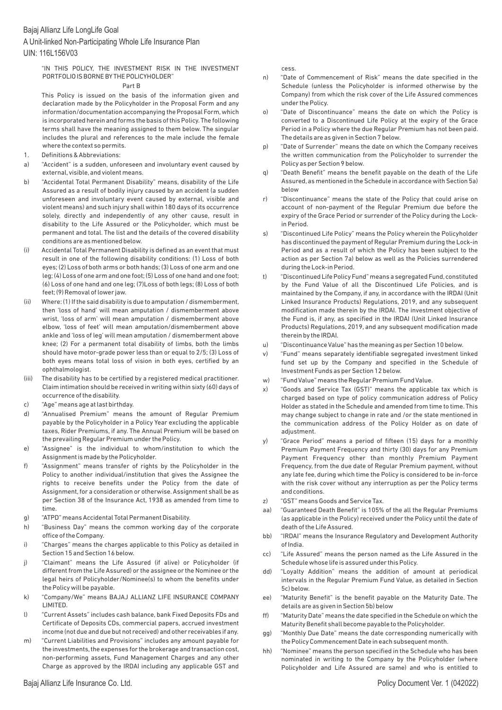"IN THIS POLICY, THE INVESTMENT RISK IN THE INVESTMENT PORTFOLIO IS BORNE BYTHE POLICYHOLDER"

Part B

This Policy is issued on the basis of the information given and declaration made by the Policyholder in the Proposal Form and any information/documentation accompanying the Proposal Form,which is incorporated herein and forms the basis of this Policy.The following terms shall have the meaning assigned to them below. The singular includes the plural and references to the male include the female where the context so permits.

- 1. Definitions & Abbreviations:
- a) "Accident" is a sudden, unforeseen and involuntary event caused by external, visible,and violent means.
- b) "Accidental Total Permanent Disability" means, disability of the Life Assured as a result of bodily injury caused by an accident (a sudden unforeseen and involuntary event caused by external, visible and violent means) and such injury shall within 180 days of its occurrence solely, directly and independently of any other cause, result in disability to the Life Assured or the Policyholder, which must be permanent and total. The list and the details of the covered disability conditions are as mentioned below.
- (i) Accidental Total Permanent Disability is defined as an event that must result in one of the following disability conditions: (1) Loss of both eyes; (2) Loss of both arms or both hands; (3) Loss of one arm and one leg; (4) Loss of one arm and one foot; (5) Loss of one hand and one foot; (6) Loss of one hand and one leg; (7)Loss of both legs; (8) Loss of both feet; (9) Removal of lower jaw.
- (ii) Where: (1) If the said disability is due to amputation / dismemberment, then 'loss of hand' will mean amputation / dismemberment above wrist, 'loss of arm' will mean amputation / dismemberment above elbow, 'loss of feet' will mean amputation/dismemberment above ankle and 'loss of leg' will mean amputation / dismemberment above knee; (2) For a permanent total disability of limbs, both the limbs should have motor-grade power less than or equal to 2/5; (3) Loss of both eyes means total loss of vision in both eyes, certified by an ophthalmologist.
- (iii) The disability has to be certified by a registered medical practitioner. Claim intimation should be received in writing within sixty (60) days of occurrence of the disability.
- c) "Age" means age at last birthday.
- d) "Annualised Premium" means the amount of Regular Premium payable by the Policyholder in a Policy Year excluding the applicable taxes, Rider Premiums, if any. The Annual Premium will be based on the prevailing Regular Premium under the Policy.
- e) "Assignee" is the individual to whom/institution to which the Assignment is made by the Policyholder.
- f) "Assignment" means transfer of rights by the Policyholder in the Policy to another individual/institution that gives the Assignee the rights to receive benefits under the Policy from the date of Assignment, for a consideration or otherwise. Assignment shall be as per Section 38 of the Insurance Act, 1938 as amended from time to time.
- g) "ATPD" means Accidental Total Permanent Disability.
- h) "Business Day" means the common working day of the corporate office of the Company.
- i) "Charges" means the charges applicable to this Policy as detailed in Section 15 and Section 16 below.
- j) "Claimant" means the Life Assured (if alive) or Policyholder (if different from the Life Assured) or the assignee or the Nominee or the legal heirs of Policyholder/Nominee(s) to whom the benefits under the Policy will be payable.
- k) "Company/We" means BAJAJ ALLIANZ LIFE INSURANCE COMPANY LIMITED.
- l) "Current Assets" includes cash balance, bank Fixed Deposits FDs and Certificate of Deposits CDs, commercial papers, accrued investment income (not due and due but not received) and other receivables if any.
- m) "Current Liabilities and Provisions" includes any amount payable for the investments, the expenses for the brokerage and transaction cost, non-performing assets, Fund Management Charges and any other Charge as approved by the IRDAI including any applicable GST and

cess.

- n) "Date of Commencement of Risk" means the date specified in the Schedule (unless the Policyholder is informed otherwise by the Company) from which the risk cover of the Life Assured commences under the Policy.
- o) "Date of Discontinuance" means the date on which the Policy is converted to a Discontinued Life Policy at the expiry of the Grace Period in a Policy where the due Regular Premium has not been paid. The details are as given in Section 7 below.
- p) "Date of Surrender" means the date on which the Company receives the written communication from the Policyholder to surrender the Policy as per Section 9 below.
- q) "Death Benefit" means the benefit payable on the death of the Life Assured, as mentioned in the Schedule in accordance with Section 5a) below
- r) "Discontinuance" means the state of the Policy that could arise on account of non-payment of the Regular Premium due before the expiry of the Grace Period or surrender of the Policy during the Lockin Period.
- s) "Discontinued Life Policy" means the Policy wherein the Policyholder has discontinued the payment of Regular Premium during the Lock-in Period and as a result of which the Policy has been subject to the action as per Section 7a) below as well as the Policies surrendered during the Lock-in Period.
- t) "Discontinued Life Policy Fund" means a segregated Fund, constituted by the Fund Value of all the Discontinued Life Policies, and is maintained by the Company, if any, in accordance with the IRDAI (Unit Linked Insurance Products) Regulations, 2019, and any subsequent modification made therein by the IRDAI. The investment objective of the Fund is, if any, as specified in the IRDAI (Unit Linked Insurance Products) Regulations, 2019, and any subsequent modification made therein by the IRDAI.
- u) "Discontinuance Value" has the meaning as per Section 10 below.
- v) "Fund" means separately identifiable segregated investment linked fund set up by the Company and specified in the Schedule of Investment Funds as per Section 12 below.
- w) "Fund Value" means the Regular Premium Fund Value.
- x) "Goods and Service Tax (GST)" means the applicable tax which is charged based on type of policy communication address of Policy Holder as stated in the Schedule and amended from time to time. This may change subject to change in rate and /or the state mentioned in the communication address of the Policy Holder as on date of adjustment.
- y) "Grace Period" means a period of fifteen (15) days for a monthly Premium Payment Frequency and thirty (30) days for any Premium Payment Frequency other than monthly Premium Payment Frequency, from the due date of Regular Premium payment, without any late fee, during which time the Policy is considered to be in-force with the risk cover without any interruption as per the Policy terms and conditions.
- z) "GST" means Goods and Service Tax.
- aa) "Guaranteed Death Benefit" is 105% of the all the Regular Premiums (as applicable in the Policy) received under the Policy until the date of death of the Life Assured.
- bb) "IRDAI" means the Insurance Regulatory and Development Authority of India.
- cc) "Life Assured" means the person named as the Life Assured in the Schedule whose life is assured under this Policy.
- dd) "Loyalty Addition" means the addition of amount at periodical intervals in the Regular Premium Fund Value, as detailed in Section 5c) below.
- ee) "Maturity Benefit" is the benefit payable on the Maturity Date. The details are as given in Section 5b) below
- ff) "Maturity Date" means the date specified in the Schedule on which the Maturity Benefit shall become payable to the Policyholder.
- gg) "Monthly Due Date" means the date corresponding numerically with the Policy Commencement Date in each subsequent month.
- hh) "Nominee" means the person specified in the Schedule who has been nominated in writing to the Company by the Policyholder (where Policyholder and Life Assured are same) and who is entitled to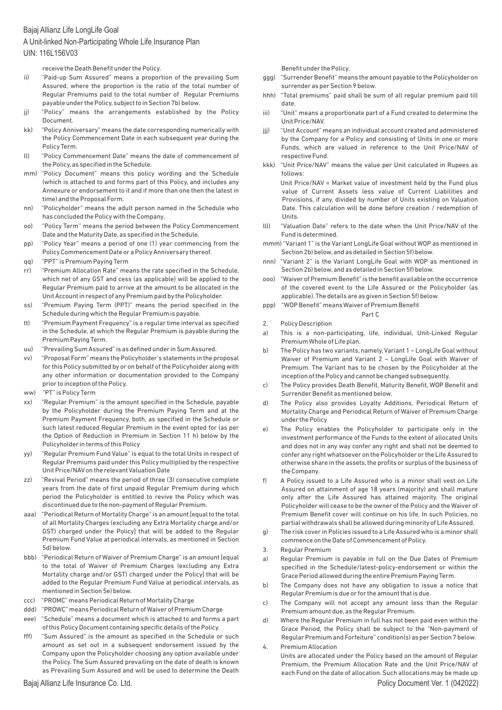### A Unit-linked Non-Participating Whole Life Insurance Plan UIN: 116L156V03

receive the Death Benefit under the Policy.

- ii) "Paid-up Sum Assured" means a proportion of the prevailing Sum Assured, where the proportion is the ratio of the total number of Regular Premiums paid to the total number of Regular Premiums payable under the Policy, subject to in Section 7b) below.
- jj) "Policy" means the arrangements established by the Policy Document.
- kk) "Policy Anniversary" means the date corresponding numerically with the Policy Commencement Date in each subsequent year during the Policy Term.
- ll) "Policy Commencement Date" means the date of commencement of the Policy, as specified in the Schedule.
- mm) "Policy Document" means this policy wording and the Schedule (which is attached to and forms part of this Policy, and includes any Annexure or endorsement to it and if more than one then the latest in time) and the Proposal Form.
- nn) "Policyholder" means the adult person named in the Schedule who has concluded the Policy with the Company.
- oo) ''Policy Term'' means the period between the Policy Commencement Date and the Maturity Date, as specified in the Schedule.
- pp) "Policy Year" means a period of one (1) year commencing from the Policy Commencement Date or a Policy Anniversary thereof.
- qq) "PPT" is Premium Paying Term
- rr) "Premium Allocation Rate" means the rate specified in the Schedule, which net of any GST and cess (as applicable) will be applied to the Regular Premium paid to arrive at the amount to be allocated in the Unit Account in respect of any Premium paid by the Policyholder.
- ss) "Premium Paying Term (PPT)" means the period specified in the Schedule during which the Regular Premium is payable.
- tt) "Premium Payment Frequency" is a regular time interval as specified in the Schedule, at which the Regular Premium is payable during the Premium Paying Term.
- uu) "Prevailing Sum Assured" is as defined under in Sum Assured.
- vv) "Proposal Form" means the Policyholder's statements in the proposal for this Policy submitted by or on behalf of the Policyholder along with any other information or documentation provided to the Company prior to inception of the Policy.
- ww) "PT" is Policy Term
- xx) "Regular Premium" is the amount specified in the Schedule, payable by the Policyholder during the Premium Paying Term and at the Premium Payment Frequency, both, as specified in the Schedule or such latest reduced Regular Premium in the event opted for (as per the Option of Reduction in Premium in Section 11 h) below by the Policyholder in terms of this Policy
- yy) "Regular Premium Fund Value" is equal to the total Units in respect of Regular Premiums paid under this Policy multiplied by the respective Unit Price/NAVon the relevant Valuation Date
- zz) "Revival Period" means the period of three (3) consecutive complete years from the date of first unpaid Regular Premium during which period the Policyholder is entitled to revive the Policy which was discontinued due to the non-payment of Regular Premium.
- aaa) "Periodical Return of Mortality Charge" is an amount [equal to the total of all Mortality Charges (excluding any Extra Mortality charge and/or GST) charged under the Policy] that will be added to the Regular Premium Fund Value at periodical intervals, as mentioned in Section 5d) below.
- bbb) "Periodical Return of Waiver of Premium Charge" is an amount [equal to the total of Waiver of Premium Charges (excluding any Extra Mortality charge and/or GST) charged under the Policy] that will be added to the Regular Premium Fund Value at periodical intervals, as mentioned in Section 5e) below.
- ccc) "PROMC" means Periodical Return of Mortality Charge
- ddd) "PROWC" means Periodical Return of Waiver of Premium Charge
- eee) "Schedule" means a document which is attached to and forms a part of this Policy Document containing specific details of the Policy.
- fff) "Sum Assured" is the amount as specified in the Schedule or such amount as set out in a subsequent endorsement issued by the Company upon the Policyholder choosing any option available under the Policy. The Sum Assured prevailing on the date of death is known as Prevailing Sum Assured and will be used to determine the Death

Benefit under the Policy.

- ggg) "Surrender Benefit" means the amount payable to the Policyholder on surrender as per Section 9 below.
- hhh) "Total premiums" paid shall be sum of all regular premium paid till date.
- iii) "Unit" means a proportionate part of a Fund created to determine the Unit Price/NAV.
- jjj) "Unit Account" means an individual account created and administered by the Company for a Policy and consisting of Units in one or more Funds, which are valued in reference to the Unit Price/NAV of respective Fund.
- kkk) "Unit Price/NAV" means the value per Unit calculated in Rupees as follows:

 Unit Price/NAV = Market value of investment held by the Fund plus value of Current Assets less value of Current Liabilities and Provisions, if any, divided by number of Units existing on Valuation Date. This calculation will be done before creation / redemption of Units.

- lll) "Valuation Date" refers to the date when the Unit Price/NAV of the Fund is determined.
- mmm) "Variant 1" is the Variant LongLife Goal without WOP as mentioned in Section 2b) below, and as detailed in Section 5f) below.
- nnn) "Variant 2" is the Variant LongLife Goal with WOP as mentioned in Section 2b) below,and as detailed in Section 5f) below.
- ooo) "Waiver of Premium Benefit" is the benefit available on the occurrence of the covered event to the Life Assured or the Policyholder (as applicable).The details are as given in Section 5f) below.
- ppp) "WOP Benefit" means Waiver of Premium Benefit

#### Part C

- 2. Policy Description
- a) This is a non-participating, life, individual, Unit-Linked Regular Premium Whole of Life plan.
- b) The Policy has two variants, namely,Variant 1 LongLife Goal without Waiver of Premium and Variant 2 – LongLife Goal with Waiver of Premium. The Variant has to be chosen by the Policyholder at the inception of the Policy and cannot be changed subsequently.
- c) The Policy provides Death Benefit, Maturity Benefit, WOP Benefit and Surrender Benefit as mentioned below.
- d) The Policy also provides Loyalty Additions, Periodical Return of Mortality Charge and Periodical Return of Waiver of Premium Charge under the Policy
- e) The Policy enables the Policyholder to participate only in the investment performance of the Funds to the extent of allocated Units and does not in any way confer any right and shall not be deemed to confer any right whatsoever on the Policyholder or the Life Assured to otherwise share in the assets, the profits or surplus of the business of the Company.
- f) A Policy issued to a Life Assured who is a minor shall vest on Life Assured on attainment of age 18 years (majority) and shall mature only after the Life Assured has attained majority. The original Policyholder will cease to be the owner of the Policy and the Waiver of Premium Benefit cover will continue on his life. In such Policies, no partial withdrawals shall be allowed during minority of Life Assured.
- g) The risk cover in Policies issued to a Life Assured who is a minor shall commence on the Date of Commencement of Policy.
- 3. Regular Premium
- a) Regular Premium is payable in full on the Due Dates of Premium specified in the Schedule/latest-policy-endorsement or within the Grace Period allowed during the entire Premium Paying Term.
- b) The Company does not have any obligation to issue a notice that Regular Premium is due or for the amount that is due.
- c) The Company will not accept any amount less than the Regular Premium amount due, as the Regular Premium.
- d) Where the Regular Premium in full has not been paid even within the Grace Period, the Policy shall be subject to the "Non-payment of Regular Premium and Forfeiture" condition(s) as per Section 7 below.
- 4. Premium Allocation
- Units are allocated under the Policy based on the amount of Regular Premium, the Premium Allocation Rate and the Unit Price/NAV of each Fund on the date of allocation. Such allocations may be made up Bajaj Allianz Life Insurance Co. Ltd. **Policy Document Ver. 1 (042022)** Policy Document Ver. 1 (042022)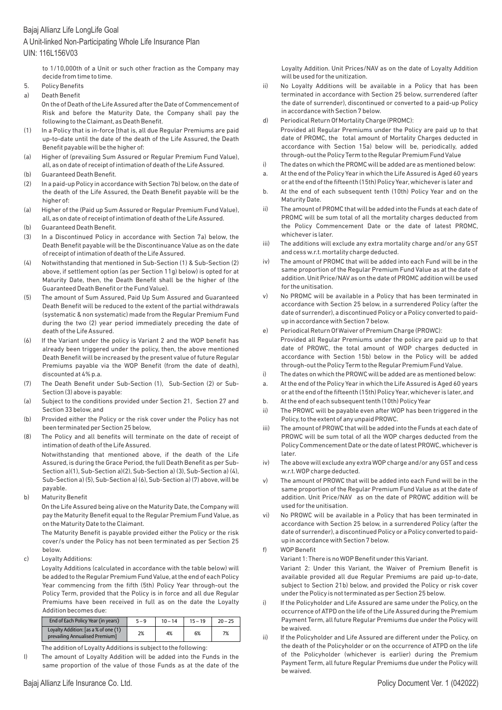#### A Unit-linked Non-Participating Whole Life Insurance Plan UIN: 116L156V03

to 1/10,000th of a Unit or such other fraction as the Company may decide from time to time.

5. Policy Benefits a) Death Benefit

> On the of Death of the Life Assured after the Date of Commencement of Risk and before the Maturity Date, the Company shall pay the following to the Claimant, as Death Benefit.

- (1) In a Policy that is in-force [that is, all due Regular Premiums are paid up-to-date until the date of the death of the Life Assured, the Death Benefit payable will be the higher of:
- (a) Higher of (prevailing Sum Assured or Regular Premium Fund Value), all, as on date of receipt of intimation of death of the Life Assured.
- (b) Guaranteed Death Benefit.
- (2) In a paid-up Policy in accordance with Section 7b) below, on the date of the death of the Life Assured, the Death Benefit payable will be the higher of:
- (a) Higher of the (Paid up Sum Assured or Regular Premium Fund Value), all,as on date of receipt of intimation of death of the Life Assured.
- (b) Guaranteed Death Benefit.
- (3) In a Discontinued Policy in accordance with Section 7a) below, the Death Benefit payable will be the Discontinuance Value as on the date of receipt of intimation of death of the Life Assured.
- (4) Notwithstanding that mentioned in Sub-Section (1) & Sub-Section (2) above, if settlement option (as per Section 11g) below) is opted for at Maturity Date, then, the Death Benefit shall be the higher of (the Guaranteed Death Benefit or the Fund Value).
- (5) The amount of Sum Assured, Paid Up Sum Assured and Guaranteed Death Benefit will be reduced to the extent of the partial withdrawals (systematic & non systematic) made from the Regular Premium Fund during the two (2) year period immediately preceding the date of death of the Life Assured.
- (6) If the Variant under the policy is Variant 2 and the WOP benefit has already been triggered under the policy, then, the above mentioned Death Benefit will be increased by the present value of future Regular Premiums payable via the WOP Benefit (from the date of death), discounted at 4% p.a.
- (7) The Death Benefit under Sub-Section (1), Sub-Section (2) or Sub-Section (3) above is payable:
- (a) Subject to the conditions provided under Section 21, Section 27 and Section 33 below,and
- (b) Provided either the Policy or the risk cover under the Policy has not been terminated per Section 25 below,
- (8) The Policy and all benefits will terminate on the date of receipt of intimation of death of the Life Assured.

Notwithstanding that mentioned above, if the death of the Life Assured, is during the Grace Period, the full Death Benefit as per Sub-Section a)(1), Sub-Section a)(2), Sub-Section a) (3), Sub-Section a) (4), Sub-Section a) (5), Sub-Section a) (6), Sub-Section a) (7) above, will be payable.

b) Maturity Benefit

On the Life Assured being alive on the Maturity Date, the Company will pay the Maturity Benefit equal to the Regular Premium Fund Value, as on the Maturity Date to the Claimant.

The Maturity Benefit is payable provided either the Policy or the risk cover/s under the Policy has not been terminated as per Section 25 below.

c) Loyalty Additions:

Loyalty Additions (calculated in accordance with the table below) will be added to the Regular Premium Fund Value,at the end of each Policy Year commencing from the fifth (5th) Policy Year through-out the Policy Term, provided that the Policy is in force and all due Regular Premiums have been received in full as on the date the Loyalty Addition becomes due:

| End of Each Policy Year (in years)                                     | $5 - 9$ | $10 - 14$ | $15 - 19$ | $20 - 25$ |
|------------------------------------------------------------------------|---------|-----------|-----------|-----------|
| Loyalty Addition: [as a % of one (1)<br>prevailing Annualised Premium] | 2%      | 4%        | 6%        | 7%        |

The addition of Loyalty Additions is subject to the following:

I) The amount of Loyalty Addition will be added into the Funds in the same proportion of the value of those Funds as at the date of the Loyalty Addition. Unit Prices/NAV as on the date of Loyalty Addition will be used for the unitization.

- ii) No Loyalty Additions will be available in a Policy that has been terminated in accordance with Section 25 below, surrendered (after the date of surrender), discontinued or converted to a paid-up Policy in accordance with Section 7 below.
- d) Periodical Return Of Mortality Charge (PROMC):
- Provided all Regular Premiums under the Policy are paid up to that date of PROMC, the total amount of Mortality Charges deducted in accordance with Section 15a) below will be, periodically, added through-out the Policy Term to the Regular Premium Fund Value
- i) The dates on which the PROMC will be added are as mentioned below:
- a. At the end of the Policy Year in which the Life Assured is Aged 60 years or at the end of the fifteenth (15th) Policy Year,whichever is later and
- b. At the end of each subsequent tenth (10th) Policy Year and on the Maturity Date.
- ii) The amount of PROMC that will be added into the Funds at each date of PROMC will be sum total of all the mortality charges deducted from the Policy Commencement Date or the date of latest PROMC, whichever is later.
- iii) The additions will exclude any extra mortality charge and/or any GST and cess w.r.t.mortality charge deducted.
- iv) The amount of PROMC that will be added into each Fund will be in the same proportion of the Regular Premium Fund Value as at the date of addition.Unit Price/NAVas on the date of PROMC addition will be used for the unitisation.
- v) No PROMC will be available in a Policy that has been terminated in accordance with Section 25 below, in a surrendered Policy (after the date of surrender),a discontinued Policy or a Policy converted to paidup in accordance with Section 7 below.
- e) Periodical Return Of Waiver of Premium Charge (PROWC):
- Provided all Regular Premiums under the policy are paid up to that date of PROWC, the total amount of WOP charges deducted in accordance with Section 15b) below in the Policy will be added through-out the Policy Term to the Regular Premium Fund Value.
- i) The dates on which the PROWC will be added are as mentioned below:
- a. At the end of the Policy Year in which the Life Assured is Aged 60 years or at the end of the fifteenth (15th) Policy Year, whichever is later, and
- b. At the end of each subsequent tenth (10th) Policy Year
- ii) The PROWC will be payable even after WOP has been triggered in the Policy, to the extent of any unpaid PROWC.
- iii) The amount of PROWC that will be added into the Funds at each date of PROWC will be sum total of all the WOP charges deducted from the Policy Commencement Date or the date of latest PROWC, whichever is later.
- iv) The above will exclude any extra WOP charge and/or any GST and cess w.r.t.WOP charge deducted.
- v) The amount of PROWC that will be added into each Fund will be in the same proportion of the Regular Premium Fund Value as at the date of addition. Unit Price/NAV as on the date of PROWC addition will be used for the unitisation.
- vi) No PROWC will be available in a Policy that has been terminated in accordance with Section 25 below, in a surrendered Policy (after the date of surrender), a discontinued Policy or a Policy converted to paidup in accordance with Section 7 below.
- f) WOP Benefit

Variant 1: There is no WOP Benefit under this Variant.

Variant 2: Under this Variant, the Waiver of Premium Benefit is available provided all due Regular Premiums are paid up-to-date, subject to Section 21b) below, and provided the Policy or risk cover under the Policy is not terminated as per Section 25 below.

- i) If the Policyholder and Life Assured are same under the Policy, on the occurrence of ATPD on the life of the Life Assured during the Premium Payment Term, all future Regular Premiums due under the Policy will be waived.
- ii) If the Policyholder and Life Assured are different under the Policy, on the death of the Policyholder or on the occurrence of ATPD on the life of the Policyholder (whichever is earlier) during the Premium Payment Term, all future Regular Premiums due under the Policy will be waived.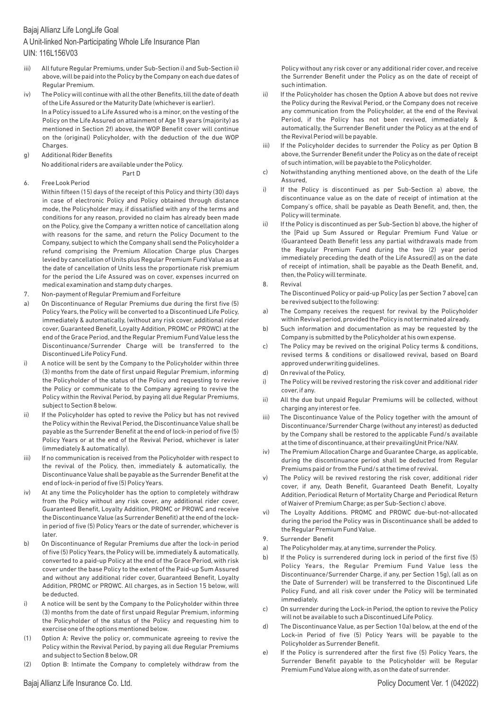#### A Unit-linked Non-Participating Whole Life Insurance Plan UIN: 116L156V03

- iii) All future Regular Premiums, under Sub-Section i) and Sub-Section ii) above, will be paid into the Policy by the Company on each due dates of Regular Premium.
- iv) The Policy will continue with all the other Benefits, till the date of death of the Life Assured or the Maturity Date (whichever is earlier). In a Policy issued to a Life Assured who is a minor, on the vesting of the Policy on the Life Assured on attainment of Age 18 years (majority) as mentioned in Section 2f) above, the WOP Benefit cover will continue on the (original) Policyholder, with the deduction of the due WOP Charges.
- g) Additional Rider Benefits

No additional riders are available under the Policy. Part D

6. Free Look Period

Within fifteen (15) days of the receipt of this Policy and thirty (30) days in case of electronic Policy and Policy obtained through distance mode, the Policyholder may, if dissatisfied with any of the terms and conditions for any reason, provided no claim has already been made on the Policy, give the Company a written notice of cancellation along with reasons for the same, and return the Policy Document to the Company, subject to which the Company shall send the Policyholder a refund comprising the Premium Allocation Charge plus Charges levied by cancellation of Units plus Regular Premium Fund Value as at the date of cancellation of Units less the proportionate risk premium for the period the Life Assured was on cover, expenses incurred on medical examination and stamp duty charges.

- 7. Non-payment of Regular Premium and Forfeiture
- a) On Discontinuance of Regular Premiums due during the first five (5) Policy Years, the Policy will be converted to a Discontinued Life Policy, immediately & automatically, (without any risk cover, additional rider cover, Guaranteed Benefit, Loyalty Addition, PROMC or PROWC) at the end of the Grace Period, and the Regular Premium Fund Value less the Discontinuance/Surrender Charge will be transferred to the Discontinued Life Policy Fund.
- i) A notice will be sent by the Company to the Policyholder within three (3) months from the date of first unpaid Regular Premium, informing the Policyholder of the status of the Policy and requesting to revive the Policy or communicate to the Company agreeing to revive the Policy within the Revival Period, by paying all due Regular Premiums, subject to Section 8 below.
- ii) If the Policyholder has opted to revive the Policy but has not revived the Policy within the Revival Period, the Discontinuance Value shall be payable as the Surrender Benefit at the end of lock-in period of five (5) Policy Years or at the end of the Revival Period, whichever is later (immediately & automatically).
- iii) If no communication is received from the Policyholder with respect to the revival of the Policy, then, immediately & automatically, the Discontinuance Value shall be payable as the Surrender Benefit at the end of lock-in period of five (5) Policy Years.
- iv) At any time the Policyholder has the option to completely withdraw from the Policy without any risk cover, any additional rider cover, Guaranteed Benefit, Loyalty Addition, PROMC or PROWC and receive the Discontinuance Value (as Surrender Benefit) at the end of the lockin period of five (5) Policy Years or the date of surrender, whichever is later.
- b) On Discontinuance of Regular Premiums due after the lock-in period of five (5) Policy Years,the Policy will be, immediately & automatically, converted to a paid-up Policy at the end of the Grace Period, with risk cover under the base Policy to the extent of the Paid-up Sum Assured and without any additional rider cover, Guaranteed Benefit, Loyalty Addition, PROMC or PROWC. All charges, as in Section 15 below, will be deducted.
- i) A notice will be sent by the Company to the Policyholder within three (3) months from the date of first unpaid Regular Premium, informing the Policyholder of the status of the Policy and requesting him to exercise one of the options mentioned below.
- (1) Option A: Revive the policy or, communicate agreeing to revive the Policy within the Revival Period, by paying all due Regular Premiums and subject to Section 8 below,OR
- (2) Option B: Intimate the Company to completely withdraw from the

Policy without any risk cover or any additional rider cover, and receive the Surrender Benefit under the Policy as on the date of receipt of such intimation.

- ii) If the Policyholder has chosen the Option A above but does not revive the Policy during the Revival Period, or the Company does not receive any communication from the Policyholder, at the end of the Revival Period, if the Policy has not been revived, immediately & automatically, the Surrender Benefit under the Policy as at the end of the Revival Period will be payable.
- iii) If the Policyholder decides to surrender the Policy as per Option B above,the Surrender Benefit under the Policy as on the date of receipt of such intimation,will be payable to the Policyholder.
- c) Notwithstanding anything mentioned above, on the death of the Life Assured,
- i) If the Policy is discontinued as per Sub-Section a) above, the discontinuance value as on the date of receipt of intimation at the Company's office, shall be payable as Death Benefit, and, then, the Policy will terminate.
- ii) If the Policy is discontinued as per Sub-Section b) above, the higher of the [Paid up Sum Assured or Regular Premium Fund Value or (Guaranteed Death Benefit less any partial withdrawals made from the Regular Premium Fund during the two (2) year period immediately preceding the death of the Life Assured)] as on the date of receipt of intimation, shall be payable as the Death Benefit, and, then,the Policy will terminate.
- 8. Revival
- The Discontinued Policy or paid-up Policy [as per Section 7 above] can be revived subject to the following:
- a) The Company receives the request for revival by the Policyholder within Revival period, provided the Policy is not terminated already.
- b) Such information and documentation as may be requested by the Company is submitted by the Policyholder at his own expense.
- c) The Policy may be revived on the original Policy terms & conditions, revised terms & conditions or disallowed revival, based on Board approved underwriting guidelines.
- d) On revival of the Policy,
- i) The Policy will be revived restoring the risk cover and additional rider cover,if any.
- ii) All the due but unpaid Regular Premiums will be collected, without charging any interest or fee.
- iii) The Discontinuance Value of the Policy together with the amount of Discontinuance/Surrender Charge (without any interest) as deducted by the Company shall be restored to the applicable Fund/s available at the time of discontinuance,at their prevailingUnit Price/NAV.
- iv) The Premium Allocation Charge and Guarantee Charge, as applicable, during the discontinuance period shall be deducted from Regular Premiums paid or from the Fund/s at the time of revival.
- v) The Policy will be revived restoring the risk cover, additional rider cover, if any, Death Benefit, Guaranteed Death Benefit, Loyalty Addition, Periodical Return of Mortality Charge and Periodical Return of Waiver of Premium Charge; as per Sub-Section c) above.
- vi) The Loyalty Additions. PROMC and PROWC due-but-not-allocated during the period the Policy was in Discontinuance shall be added to the Regular Premium Fund Value.
- 9. Surrender Benefit
- a) The Policyholder may, at any time, surrender the Policy.
- b) If the Policy is surrendered during lock in period of the first five (5) Policy Years, the Regular Premium Fund Value less the Discontinuance/Surrender Charge, if any, per Section 15g), (all as on the Date of Surrender) will be transferred to the Discontinued Life Policy Fund, and all risk cover under the Policy will be terminated immediately.
- c) On surrender during the Lock-in Period, the option to revive the Policy will not be available to such a Discontinued Life Policy.
- d) The Discontinuance Value, as per Section 10a) below, at the end of the Lock-in Period of five (5) Policy Years will be payable to the Policyholder as Surrender Benefit.
- e) If the Policy is surrendered after the first five (5) Policy Years, the Surrender Benefit payable to the Policyholder will be Regular Premium Fund Value along with, as on the date of surrender.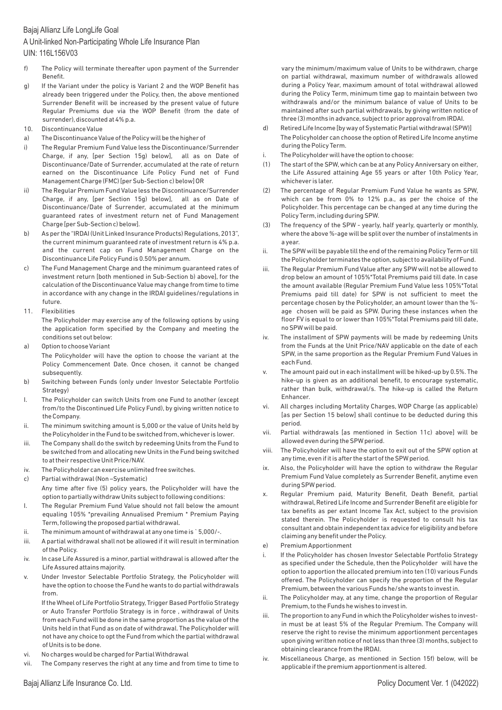- f) The Policy will terminate thereafter upon payment of the Surrender Benefit.
- g) If the Variant under the policy is Variant 2 and the WOP Benefit has already been triggered under the Policy, then, the above mentioned Surrender Benefit will be increased by the present value of future Regular Premiums due via the WOP Benefit (from the date of surrender), discounted at 4% p.a.
- 10. Discontinuance Value
- a) The Discontinuance Value of the Policy will be the higher of
- i) The Regular Premium Fund Value less the Discontinuance/Surrender Charge, if any, [per Section 15g) below], all as on Date of Discontinuance/Date of Surrender, accumulated at the rate of return earned on the Discontinuance Life Policy Fund net of Fund Management Charge (FMC) [per Sub-Section c) below] OR
- ii) The Regular Premium Fund Value less the Discontinuance/Surrender Charge, if any, [per Section 15g) below], all as on Date of Discontinuance/Date of Surrender, accumulated at the minimum guaranteed rates of investment return net of Fund Management Charge [per Sub-Section c) below].
- b) As per the "IRDAI (Unit Linked Insurance Products) Regulations,2013", the current minimum guaranteed rate of investment return is 4% p.a. and the current cap on Fund Management Charge on the Discontinuance Life Policy Fund is 0.50% per annum.
- c) The Fund Management Charge and the minimum guaranteed rates of investment return [both mentioned in Sub-Section b) above], for the calculation of the Discontinuance Value may change from time to time in accordance with any change in the IRDAI guidelines/regulations in future.
- 11. Flexibilities

The Policyholder may exercise any of the following options by using the application form specified by the Company and meeting the conditions set out below:

- a) Option to choose Variant The Policyholder will have the option to choose the variant at the Policy Commencement Date. Once chosen, it cannot be changed subsequently.
- b) Switching between Funds (only under Investor Selectable Portfolio Strategy)
- I. The Policyholder can switch Units from one Fund to another (except from/to the Discontinued Life Policy Fund), by giving written notice to the Company.
- ii. The minimum switching amount is 5,000 or the value of Units held by the Policyholder in the Fund to be switched from, whichever is lower.
- iii. The Company shall do the switch by redeeming Units from the Fund to be switched from and allocating new Units in the Fund being switched to at their respective Unit Price/NAV.
- iv. The Policyholder can exercise unlimited free switches.
- c) Partial withdrawal (Non –Systematic)
- Any time after five (5) policy years, the Policyholder will have the option to partially withdraw Units subject to following conditions:
- I. The Regular Premium Fund Value should not fall below the amount equaling 105% \*prevailing Annualised Premium \* Premium Paying Term,following the proposed partial withdrawal.
- ii. The minimum amount of withdrawal at any one time is ` 5,000/-.
- iii. A partial withdrawal shall not be allowed if it will result in termination of the Policy.
- iv. In case Life Assured is a minor, partial withdrawal is allowed after the Life Assured attains majority.
- v. Under Investor Selectable Portfolio Strategy, the Policyholder will have the option to choose the Fund he wants to do partial withdrawals from.

If the Wheel of Life Portfolio Strategy, Trigger Based Portfolio Strategy or Auto Transfer Portfolio Strategy is in force , withdrawal of Units from each Fund will be done in the same proportion as the value of the Units held in that Fund as on date of withdrawal. The Policyholder will not have any choice to opt the Fund from which the partial withdrawal of Units is to be done.

- vi. No charges would be charged for Partial Withdrawal
- vii. The Company reserves the right at any time and from time to time to

vary the minimum/maximum value of Units to be withdrawn, charge on partial withdrawal, maximum number of withdrawals allowed during a Policy Year, maximum amount of total withdrawal allowed during the Policy Term, minimum time gap to maintain between two withdrawals and/or the minimum balance of value of Units to be maintained after such partial withdrawals, by giving written notice of three (3) months in advance, subject to prior approval from IRDAI.

- d) Retired Life Income [by way of Systematic Partial withdrawal (SPW)] The Policyholder can choose the option of Retired Life Income anytime during the Policy Term.
- i. The Policyholder will have the option to choose:
- (1) The start of the SPW, which can be at any Policy Anniversary on either, the Life Assured attaining Age 55 years or after 10th Policy Year, whichever is later.
- (2) The percentage of Regular Premium Fund Value he wants as SPW, which can be from 0% to 12% p.a., as per the choice of the Policyholder. This percentage can be changed at any time during the Policy Term, including during SPW.
- (3) The frequency of the SPW yearly, half yearly, quarterly or monthly, where the above %-age will be split over the number of instalments in a year.
- ii. The SPW will be payable till the end of the remaining Policy Term or till the Policyholder terminates the option, subject to availability of Fund.
- iii. The Regular Premium Fund Value after any SPW will not be allowed to drop below an amount of 105%\*Total Premiums paid till date. In case the amount available (Regular Premium Fund Value less 105%\*Total Premiums paid till date) for SPW is not sufficient to meet the percentage chosen by the Policyholder, an amount lower than the % age chosen will be paid as SPW. During these instances when the floor FV is equal to or lower than 105%\*Total Premiums paid till date, no SPWwill be paid.
- iv. The installment of SPW payments will be made by redeeming Units from the Funds at the Unit Price/NAV applicable on the date of each SPW, in the same proportion as the Regular Premium Fund Values in each Fund.
- v. The amount paid out in each installment will be hiked-up by 0.5%. The hike-up is given as an additional benefit, to encourage systematic, rather than bulk, withdrawal/s. The hike-up is called the Return Enhancer.
- vi. All charges including Mortality Charges, WOP Charge (as applicable) [as per Section 15 below] shall continue to be deducted during this period.
- vii. Partial withdrawals [as mentioned in Section 11c) above] will be allowed even during the SPW period.
- viii. The Policyholder will have the option to exit out of the SPW option at any time, even if it is after the start of the SPW period.
- ix. Also, the Policyholder will have the option to withdraw the Regular Premium Fund Value completely as Surrender Benefit, anytime even during SPW period.
- x. Regular Premium paid, Maturity Benefit, Death Benefit, partial withdrawal, Retired Life Income and Surrender Benefit are eligible for tax benefits as per extant Income Tax Act, subject to the provision stated therein. The Policyholder is requested to consult his tax consultant and obtain independent tax advice for eligibility and before claiming any benefit under the Policy.
- e) Premium Apportionment
- i. If the Policyholder has chosen Investor Selectable Portfolio Strategy as specified under the Schedule, then the Policyholder will have the option to apportion the allocated premium into ten (10) various Funds offered. The Policyholder can specify the proportion of the Regular Premium,between the various Funds he/she wants to invest in.
- ii. The Policyholder may, at any time, change the proportion of Regular Premium, to the Funds he wishes to invest in.
- iii. The proportion to any Fund in which the Policyholder wishes to investin must be at least 5% of the Regular Premium. The Company will reserve the right to revise the minimum apportionment percentages upon giving written notice of not less than three (3) months, subject to obtaining clearance from the IRDAI.
- iv. Miscellaneous Charge, as mentioned in Section 15f) below, will be applicable if the premium apportionment is altered.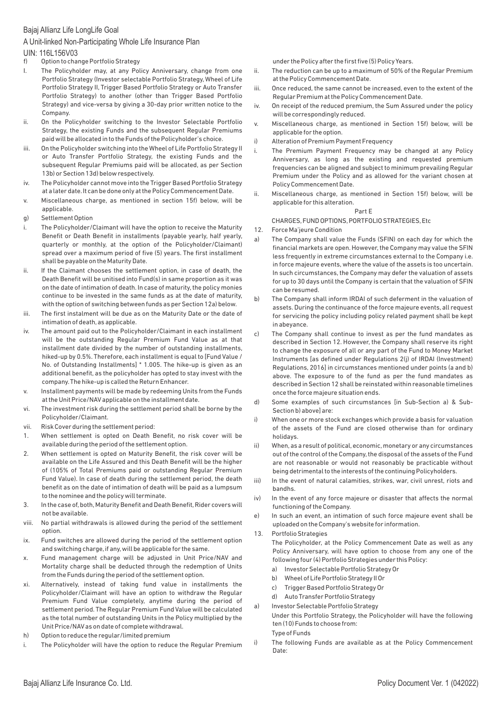### A Unit-linked Non-Participating Whole Life Insurance Plan

#### UIN: 116L156V03

- f) Option to change Portfolio Strategy
- I. The Policyholder may, at any Policy Anniversary, change from one Portfolio Strategy (Investor selectable Portfolio Strategy, Wheel of Life Portfolio Strategy II, Trigger Based Portfolio Strategy or Auto Transfer Portfolio Strategy) to another (other than Trigger Based Portfolio Strategy) and vice-versa by giving a 30-day prior written notice to the Company.
- ii. On the Policyholder switching to the Investor Selectable Portfolio Strategy, the existing Funds and the subsequent Regular Premiums paid will be allocated in to the Funds of the Policyholder's choice.
- iii. On the Policyholder switching into the Wheel of Life Portfolio Strategy II or Auto Transfer Portfolio Strategy, the existing Funds and the subsequent Regular Premiums paid will be allocated, as per Section 13b) or Section 13d) below respectively.
- iv. The Policyholder cannot move into the Trigger Based Portfolio Strategy at a later date.It can be done only at the Policy Commencement Date.
- v. Miscellaneous charge, as mentioned in section 15f) below, will be applicable.
- g) Settlement Option
- i. The Policyholder/Claimant will have the option to receive the Maturity Benefit or Death Benefit in installments (payable yearly, half yearly, quarterly or monthly, at the option of the Policyholder/Claimant) spread over a maximum period of five (5) years. The first installment shall be payable on the Maturity Date.
- ii. If the Claimant chooses the settlement option, in case of death, the Death Benefit will be unitised into Fund(s) in same proportion as it was on the date of intimation of death. In case of maturity, the policy monies continue to be invested in the same funds as at the date of maturity, with the option of switching between funds as per Section 12a) below.
- iii. The first instalment will be due as on the Maturity Date or the date of intimation of death, as applicable.
- iv. The amount paid out to the Policyholder/Claimant in each installment will be the outstanding Regular Premium Fund Value as at that installment date divided by the number of outstanding installments, hiked-up by 0.5%. Therefore, each installment is equal to [Fund Value / No. of Outstanding Installments] \* 1.005. The hike-up is given as an additional benefit, as the policyholder has opted to stay invest with the company.The hike-up is called the Return Enhancer.
- v. Installment payments will be made by redeeming Units from the Funds at the Unit Price/NAVapplicable on the installment date.
- vi. The investment risk during the settlement period shall be borne by the Policyholder/Claimant.
- vii. Risk Cover during the settlement period:
- 1. When settlement is opted on Death Benefit, no risk cover will be available during the period of the settlement option.
- 2. When settlement is opted on Maturity Benefit, the risk cover will be available on the Life Assured and this Death Benefit will be the higher of (105% of Total Premiums paid or outstanding Regular Premium Fund Value). In case of death during the settlement period, the death benefit as on the date of intimation of death will be paid as a lumpsum to the nominee and the policy will terminate.
- 3. In the case of,both,Maturity Benefit and Death Benefit,Rider covers will not be available.
- viii. No partial withdrawals is allowed during the period of the settlement option.
- ix. Fund switches are allowed during the period of the settlement option and switching charge, if any, will be applicable for the same.
- x. Fund management charge will be adjusted in Unit Price/NAV and Mortality charge shall be deducted through the redemption of Units from the Funds during the period of the settlement option.
- xi. Alternatively, instead of taking fund value in installments the Policyholder/Claimant will have an option to withdraw the Regular Premium Fund Value completely, anytime during the period of settlement period. The Regular Premium Fund Value will be calculated as the total number of outstanding Units in the Policy multiplied by the Unit Price/NAVas on date of complete withdrawal.
- h) Option to reduce the regular/limited premium
- i. The Policyholder will have the option to reduce the Regular Premium

under the Policy after the first five (5) Policy Years.

- ii. The reduction can be up to a maximum of 50% of the Regular Premium at the Policy Commencement Date.
- iii. Once reduced, the same cannot be increased, even to the extent of the Regular Premium at the Policy Commencement Date.
- iv. On receipt of the reduced premium, the Sum Assured under the policy will be correspondingly reduced.
- v. Miscellaneous charge, as mentioned in Section 15f) below, will be applicable for the option.
- i) Alteration of Premium Payment Frequency
- i. The Premium Payment Frequency may be changed at any Policy Anniversary, as long as the existing and requested premium frequencies can be aligned and subject to minimum prevailing Regular Premium under the Policy and as allowed for the variant chosen at Policy Commencement Date.
- ii. Miscellaneous charge, as mentioned in Section 15f) below, will be applicable for this alteration.
	- Part E CHARGES,FUND OPTIONS,PORTFOLIO STRATEGIES,Etc
- 12. Force Ma'jeure Condition
- a) The Company shall value the Funds (SFIN) on each day for which the financial markets are open. However, the Company may value the SFIN less frequently in extreme circumstances external to the Company i.e. in force majeure events, where the value of the assets is too uncertain. In such circumstances, the Company may defer the valuation of assets for up to 30 days until the Company is certain that the valuation of SFIN can be resumed.
- b) The Company shall inform IRDAI of such deferment in the valuation of assets. During the continuance of the force majeure events, all request for servicing the policy including policy related payment shall be kept in abeyance.
- c) The Company shall continue to invest as per the fund mandates as described in Section 12. However, the Company shall reserve its right to change the exposure of all or any part of the Fund to Money Market Instruments [as defined under Regulations 2(j) of IRDAI (Investment) Regulations, 2016] in circumstances mentioned under points (a and b) above. The exposure to of the fund as per the fund mandates as described in Section 12 shall be reinstated within reasonable timelines once the force majeure situation ends.
- d) Some examples of such circumstances [in Sub-Section a) & Sub-Section b) abovel are:
- i) When one or more stock exchanges which provide a basis for valuation of the assets of the Fund are closed otherwise than for ordinary holidays.
- ii) When, as a result of political, economic, monetary or any circumstances out of the control of the Company, the disposal of the assets of the Fund are not reasonable or would not reasonably be practicable without being detrimental to the interests of the continuing Policyholders.
- iii) In the event of natural calamities, strikes, war, civil unrest, riots and bandhs.
- iv) In the event of any force majeure or disaster that affects the normal functioning of the Company.
- e) In such an event, an intimation of such force majeure event shall be uploaded on the Company's website for information.
- 13. Portfolio Strategies The Policyholder, at the Policy Commencement Date as well as any Policy Anniversary, will have option to choose from any one of the
	- following four (4) Portfolio Strategies under this Policy:
	- a) Investor Selectable Portfolio Strategy Or
	- b) Wheel of Life Portfolio Strategy II Or
	- c) Trigger Based Portfolio Strategy Or
	- d) Auto Transfer Portfolio Strategy
- a) Investor Selectable Portfolio Strategy Under this Portfolio Strategy, the Policyholder will have the following ten (10) Funds to choose from: Type of Funds
- i) The following Funds are available as at the Policy Commencement Date: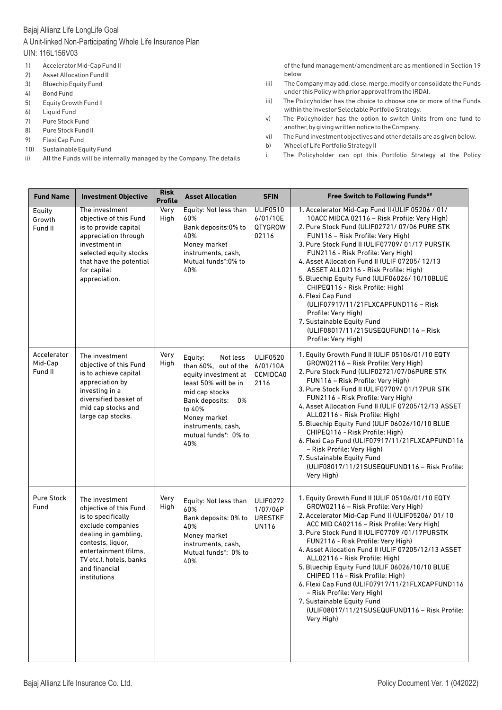#### A Unit-linked Non-Participating Whole Life Insurance Plan UIN: 116L156V03

- 1) Accelerator Mid-Cap Fund II
- 2) Asset Allocation Fund II
- 3) Bluechip Equity Fund
- 4) Bond Fund
- 5) Equity Growth Fund II
- 6) Liquid Fund
- 7) Pure Stock Fund
- 8) Pure Stock Fund II
- 9) Flexi Cap Fund
- 10) Sustainable Equity Fund
- ii) All the Funds will be internally managed by the Company. The details

of the fund management/amendment are as mentioned in Section 19 below

- iii) The Company may add, close, merge, modify or consolidate the Funds under this Policy with prior approval from the IRDAI.
- iii) The Policyholder has the choice to choose one or more of the Funds within the Investor Selectable Portfolio Strategy.
- v) The Policyholder has the option to switch Units from one fund to another,by giving written notice to the Company.
- vi) The Fund investment objectives and other details are as given below.
- b) Wheel of Life Portfolio Strategy II
- i. The Policyholder can opt this Portfolio Strategy at the Policy

| <b>Fund Name</b>                  | <b>Investment Objective</b>                                                                                                                                                                                           | <b>Risk</b><br><b>Profile</b> | <b>Asset Allocation</b>                                                                                                                                                                                                           | <b>SFIN</b>                                                   | Free Switch to Following Funds##                                                                                                                                                                                                                                                                                                                                                                                                                                                                                                                                                                                                             |
|-----------------------------------|-----------------------------------------------------------------------------------------------------------------------------------------------------------------------------------------------------------------------|-------------------------------|-----------------------------------------------------------------------------------------------------------------------------------------------------------------------------------------------------------------------------------|---------------------------------------------------------------|----------------------------------------------------------------------------------------------------------------------------------------------------------------------------------------------------------------------------------------------------------------------------------------------------------------------------------------------------------------------------------------------------------------------------------------------------------------------------------------------------------------------------------------------------------------------------------------------------------------------------------------------|
| Equity<br>Growth<br>Fund II       | The investment<br>objective of this Fund<br>is to provide capital<br>appreciation through<br>investment in<br>selected equity stocks<br>that have the potential<br>for capital<br>appreciation.                       | Very<br>High                  | Equity: Not less than<br>60%<br>Bank deposits:0% to<br>40%<br>Money market<br>instruments, cash,<br>Mutual funds*:0% to<br>40%                                                                                                    | <b>ULIF0510</b><br>6/01/10E<br>QTYGROW<br>02116               | 1. Accelerator Mid-Cap Fund II (ULIF 05206 / 01/<br>10ACC MIDCA 02116 - Risk Profile: Very High)<br>2. Pure Stock Fund (ULIF02721/07/06 PURE STK<br>FUN116 - Risk Profile: Very High)<br>3. Pure Stock Fund II (ULIF07709/ 01/17 PURSTK<br>FUN2116 - Risk Profile: Very High)<br>4. Asset Allocation Fund II (ULIF 07205/12/13<br>ASSET ALL02116 - Risk Profile: High)<br>5. Bluechip Equity Fund (ULIF06026/ 10/10BLUE<br>CHIPEQ116 - Risk Profile: High)<br>6. Flexi Cap Fund<br>(ULIF07917/11/21FLXCAPFUND116 - Risk<br>Profile: Very High)<br>7. Sustainable Equity Fund<br>(ULIF08017/11/21SUSEQUFUND116 - Risk<br>Profile: Very High)  |
| Accelerator<br>Mid-Cap<br>Fund II | The investment<br>obiective of this Fund<br>is to achieve capital<br>appreciation by<br>investing in a<br>diversified basket of<br>mid cap stocks and<br>large cap stocks.                                            | Very<br>High                  | Equity:<br>Not less<br>than 60%, out of the<br>equity investment at<br>least 50% will be in<br>mid cap stocks<br>Bank deposits:<br>0%<br>to 40%<br>Money market<br>instruments, cash,<br>mutual funds <sup>*</sup> : 0% to<br>40% | <b>ULIF0520</b><br>6/01/10A<br>CCMIDCA0<br>2116               | 1. Equity Growth Fund II (ULIF 05106/01/10 EQTY<br>GROW02116 - Risk Profile: Very High)<br>2. Pure Stock Fund (ULIF02721/07/06PURE STK<br>FUN116 - Risk Profile: Very High)<br>3. Pure Stock Fund II (ULIF07709/01/17PUR STK<br>FUN2116 - Risk Profile: Very High)<br>4. Asset Allocation Fund II (ULIF 07205/12/13 ASSET<br>ALL02116 - Risk Profile: High)<br>5. Bluechip Equity Fund (ULIF 06026/10/10 BLUE<br>CHIPEQ116 - Risk Profile: High)<br>6. Flexi Cap Fund (ULIF07917/11/21FLXCAPFUND116<br>- Risk Profile: Very High)<br>7. Sustainable Equity Fund<br>(ULIF08017/11/21SUSEQUFUND116 - Risk Profile:<br>Very High)               |
| Pure Stock<br>Fund                | The investment<br>objective of this Fund<br>is to specifically<br>exclude companies<br>dealing in gambling,<br>contests, liquor,<br>entertainment (films,<br>TV etc.), hotels, banks<br>and financial<br>institutions | Very<br>High                  | Equity: Not less than<br>60%<br>Bank deposits: 0% to<br>40%<br>Money market<br>instruments, cash,<br>Mutual funds*: 0% to<br>40%                                                                                                  | <b>ULIF0272</b><br>1/07/06P<br><b>URESTKF</b><br><b>UN116</b> | 1. Equity Growth Fund II (ULIF 05106/01/10 EQTY<br>GROW02116 - Risk Profile: Very High)<br>2. Accelerator Mid-Cap Fund II (ULIF05206/01/10<br>ACC MID CA02116 - Risk Profile: Very High)<br>3. Pure Stock Fund II (ULIF07709 /01/17PURSTK<br>FUN2116 - Risk Profile: Very High)<br>4. Asset Allocation Fund II (ULIF 07205/12/13 ASSET<br>ALL02116 - Risk Profile: High)<br>5. Bluechip Equity Fund (ULIF 06026/10/10 BLUE<br>CHIPEQ 116 - Risk Profile: High)<br>6. Flexi Cap Fund (ULIF07917/11/21FLXCAPFUND116<br>- Risk Profile: Very High)<br>7. Sustainable Equity Fund<br>(ULIF08017/11/21SUSEQUFUND116 - Risk Profile:<br>Very High) |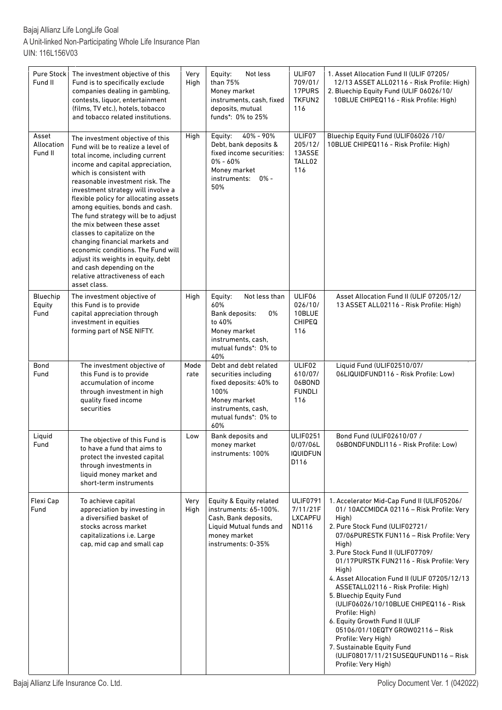| Pure Stock<br>Fund II          | The investment objective of this<br>Fund is to specifically exclude<br>companies dealing in gambling,<br>contests, liquor, entertainment<br>(films, TV etc.), hotels, tobacco<br>and tobacco related institutions.                                                                                                                                                                                                                                                                                                                                                                                                                 | Very<br>High | Equity:<br>Not less<br>than 75%<br>Money market<br>instruments, cash, fixed<br>deposits, mutual<br>funds <sup>*</sup> : 0% to 25%                    | ULIF07<br>709/01/<br>17PURS<br>TKFUN2<br>116           | 1. Asset Allocation Fund II (ULIF 07205/<br>12/13 ASSET ALL02116 - Risk Profile: High)<br>2. Bluechip Equity Fund (ULIF 06026/10/<br>10BLUE CHIPEQ116 - Risk Profile: High)                                                                                                                                                                                                                                                                                                                                                                                                                                                                              |
|--------------------------------|------------------------------------------------------------------------------------------------------------------------------------------------------------------------------------------------------------------------------------------------------------------------------------------------------------------------------------------------------------------------------------------------------------------------------------------------------------------------------------------------------------------------------------------------------------------------------------------------------------------------------------|--------------|------------------------------------------------------------------------------------------------------------------------------------------------------|--------------------------------------------------------|----------------------------------------------------------------------------------------------------------------------------------------------------------------------------------------------------------------------------------------------------------------------------------------------------------------------------------------------------------------------------------------------------------------------------------------------------------------------------------------------------------------------------------------------------------------------------------------------------------------------------------------------------------|
| Asset<br>Allocation<br>Fund II | The investment objective of this<br>Fund will be to realize a level of<br>total income, including current<br>income and capital appreciation,<br>which is consistent with<br>reasonable investment risk. The<br>investment strategy will involve a<br>flexible policy for allocating assets<br>among equities, bonds and cash.<br>The fund strategy will be to adjust<br>the mix between these asset<br>classes to capitalize on the<br>changing financial markets and<br>economic conditions. The Fund will<br>adjust its weights in equity, debt<br>and cash depending on the<br>relative attractiveness of each<br>asset class. | High         | $40\% - 90\%$<br>Equity:<br>Debt, bank deposits &<br>fixed income securities:<br>$0\% - 60\%$<br>Money market<br>instruments: 0% -<br>50%            | ULIF07<br>205/12/<br>13ASSE<br>TALL02<br>116           | Bluechip Equity Fund (ULIF06026 /10/<br>10BLUE CHIPEQ116 - Risk Profile: High)                                                                                                                                                                                                                                                                                                                                                                                                                                                                                                                                                                           |
| Bluechip<br>Equity<br>Fund     | The investment objective of<br>this Fund is to provide<br>capital appreciation through<br>investment in equities<br>forming part of NSE NIFTY.                                                                                                                                                                                                                                                                                                                                                                                                                                                                                     | High         | Equity:<br>Not less than<br>60%<br>Bank deposits:<br>0%<br>to 40%<br>Money market<br>instruments, cash,<br>mutual funds <sup>*</sup> : 0% to<br>40%  | ULIF06<br>026/10/<br>10BLUE<br><b>CHIPEQ</b><br>116    | Asset Allocation Fund II (ULIF 07205/12/<br>13 ASSET ALL02116 - Risk Profile: High)                                                                                                                                                                                                                                                                                                                                                                                                                                                                                                                                                                      |
| Bond<br>Fund                   | The investment objective of<br>this Fund is to provide<br>accumulation of income<br>through investment in high<br>quality fixed income<br>securities                                                                                                                                                                                                                                                                                                                                                                                                                                                                               | Mode<br>rate | Debt and debt related<br>securities including<br>fixed deposits: 40% to<br>100%<br>Money market<br>instruments, cash,<br>mutual funds*: 0% to<br>60% | ULIF02<br>610/07/<br>06BOND<br><b>FUNDLI</b><br>116    | Liquid Fund (ULIF02510/07/<br>06LIQUIDFUND116 - Risk Profile: Low)                                                                                                                                                                                                                                                                                                                                                                                                                                                                                                                                                                                       |
| Liquid<br>Fund                 | The objective of this Fund is<br>to have a fund that aims to<br>protect the invested capital<br>through investments in<br>liquid money market and<br>short-term instruments                                                                                                                                                                                                                                                                                                                                                                                                                                                        | Low          | Bank deposits and<br>money market<br>instruments: 100%                                                                                               | <b>ULIF0251</b><br>0/07/06L<br><b>IQUIDFUN</b><br>D116 | Bond Fund (ULIF02610/07 /<br>06BONDFUNDLI116 - Risk Profile: Low)                                                                                                                                                                                                                                                                                                                                                                                                                                                                                                                                                                                        |
| Flexi Cap<br>Fund              | To achieve capital<br>appreciation by investing in<br>a diversified basket of<br>stocks across market<br>capitalizations i.e. Large<br>cap, mid cap and small cap                                                                                                                                                                                                                                                                                                                                                                                                                                                                  | Very<br>High | Equity & Equity related<br>instruments: 65-100%.<br>Cash, Bank deposits,<br>Liquid Mutual funds and<br>money market<br>instruments: 0-35%            | <b>ULIF0791</b><br>7/11/21F<br>LXCAPFU<br>ND116        | 1. Accelerator Mid-Cap Fund II (ULIF05206/<br>01/10ACCMIDCA 02116 - Risk Profile: Very<br>High)<br>2. Pure Stock Fund (ULIF02721/<br>07/06PURESTK FUN116 - Risk Profile: Very<br>High)<br>3. Pure Stock Fund II (ULIF07709/<br>01/17PURSTK FUN2116 - Risk Profile: Very<br>High)<br>4. Asset Allocation Fund II (ULIF 07205/12/13<br>ASSETALL02116 - Risk Profile: High)<br>5. Bluechip Equity Fund<br>(ULIF06026/10/10BLUE CHIPEQ116 - Risk<br>Profile: High)<br>6. Equity Growth Fund II (ULIF<br>05106/01/10EQTY GROW02116 - Risk<br>Profile: Very High)<br>7. Sustainable Equity Fund<br>(ULIF08017/11/21SUSEQUFUND116 - Risk<br>Profile: Very High) |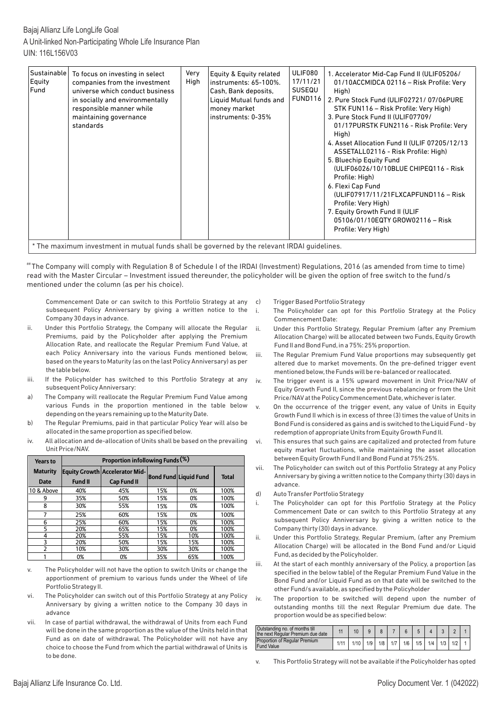# UIN: 116L156V03

| Sustainable<br>Equity<br>Fund | To focus on investing in select<br>companies from the investment<br>universe which conduct business<br>in socially and environmentally<br>responsible manner while<br>maintaining governance<br>standards | Very<br>High | Equity & Equity related<br>instruments: 65-100%.<br>Cash, Bank deposits,<br>Liquid Mutual funds and<br>money market<br>instruments: 0-35% | ULIF080<br>17/11/21<br>SUSEQU<br>FUND <sub>116</sub> | 1. Accelerator Mid-Cap Fund II (ULIF05206/<br>01/10ACCMIDCA 02116 - Risk Profile: Very<br>High)<br>2. Pure Stock Fund (ULIF02721/07/06PURE<br>STK FUN116 - Risk Profile: Very High)<br>3. Pure Stock Fund II (ULIF07709/<br>01/17PURSTK FUN2116 - Risk Profile: Very<br>High)<br>4. Asset Allocation Fund II (ULIF 07205/12/13<br>ASSETALL02116 - Risk Profile: High)<br>5. Bluechip Equity Fund<br>(ULIF06026/10/10BLUE CHIPEQ116 - Risk)<br>Profile: High)<br>6. Flexi Cap Fund<br>(ULIF07917/11/21FLXCAPFUND116 - Risk<br>Profile: Very High)<br>7. Equity Growth Fund II (ULIF<br>05106/01/10EQTY GROW02116 - Risk<br>Profile: Very High) |
|-------------------------------|-----------------------------------------------------------------------------------------------------------------------------------------------------------------------------------------------------------|--------------|-------------------------------------------------------------------------------------------------------------------------------------------|------------------------------------------------------|-----------------------------------------------------------------------------------------------------------------------------------------------------------------------------------------------------------------------------------------------------------------------------------------------------------------------------------------------------------------------------------------------------------------------------------------------------------------------------------------------------------------------------------------------------------------------------------------------------------------------------------------------|
|                               | * The maximum investment in mutual funds shall be governed by the relevant IRDAI quidelines.                                                                                                              |              |                                                                                                                                           |                                                      |                                                                                                                                                                                                                                                                                                                                                                                                                                                                                                                                                                                                                                               |

## The Company will comply with Regulation 8 of Schedule I of the IRDAI (Investment) Regulations, 2016 (as amended from time to time) read with the Master Circular – Investment issued thereunder, the policyholder will be given the option of free switch to the fund/s mentioned under the column (as per his choice).

Commencement Date or can switch to this Portfolio Strategy at any subsequent Policy Anniversary by giving a written notice to the Company 30 days in advance.

- ii. Under this Portfolio Strategy, the Company will allocate the Regular Premiums, paid by the Policyholder after applying the Premium Allocation Rate, and reallocate the Regular Premium Fund Value, at each Policy Anniversary into the various Funds mentioned below, based on the years to Maturity (as on the last Policy Anniversary) as per the table below.
- iii. If the Policyholder has switched to this Portfolio Strategy at any subsequent Policy Anniversary:
- a) The Company will reallocate the Regular Premium Fund Value among various Funds in the proportion mentioned in the table below depending on the years remaining up to the Maturity Date.
- b) The Regular Premiums, paid in that particular Policy Year will also be allocated in the same proportion as specified below.
- iv. All allocation and de-allocation of Units shall be based on the prevailing Unit Price/NAV.

| <b>Years to</b>                |                | Proportion infollowing Funds (%)                            |     |                              |              |  |  |  |  |
|--------------------------------|----------------|-------------------------------------------------------------|-----|------------------------------|--------------|--|--|--|--|
| <b>Maturity</b><br><b>Date</b> | <b>Fund II</b> | <b>Equity Growth Accelerator Mid-</b><br><b>Cap Fund II</b> |     | <b>Bond Fund Liquid Fund</b> | <b>Total</b> |  |  |  |  |
| 10 & Above                     | 40%            | 45%                                                         | 15% | 0%                           | 100%         |  |  |  |  |
| 9                              | 35%            | 50%                                                         | 15% | 0%                           | 100%         |  |  |  |  |
| 8                              | 30%            | 55%                                                         | 15% | 0%                           | 100%         |  |  |  |  |
|                                | 25%            | 60%                                                         | 15% | 0%                           | 100%         |  |  |  |  |
| 6                              | 25%            | 60%                                                         | 15% | 0%                           | 100%         |  |  |  |  |
| 5                              | 20%            | 65%                                                         | 15% | 0%                           | 100%         |  |  |  |  |
| 4                              | 20%            | 55%                                                         | 15% | 10%                          | 100%         |  |  |  |  |
| 3                              | 20%            | 50%                                                         | 15% | 15%                          | 100%         |  |  |  |  |
| $\overline{2}$                 | 10%            | 30%                                                         | 30% | 30%                          | 100%         |  |  |  |  |
|                                | 0%             | 0%                                                          | 35% | 65%                          | 100%         |  |  |  |  |

- The Policyholder will not have the option to switch Units or change the apportionment of premium to various funds under the Wheel of life Portfolio Strategy II.
- vi. The Policyholder can switch out of this Portfolio Strategy at any Policy Anniversary by giving a written notice to the Company 30 days in advance
- vii. In case of partial withdrawal, the withdrawal of Units from each Fund will be done in the same proportion as the value of the Units held in that Fund as on date of withdrawal. The Policyholder will not have any choice to choose the Fund from which the partial withdrawal of Units is to be done.

c) Trigger Based Portfolio Strategy

- i. The Policyholder can opt for this Portfolio Strategy at the Policy Commencement Date:
- ii. Under this Portfolio Strategy, Regular Premium (after any Premium Allocation Charge) will be allocated between two Funds, Equity Growth Fund II and Bond Fund,in a 75%: 25% proportion.
- iii. The Regular Premium Fund Value proportions may subsequently get altered due to market movements. On the pre-defined trigger event mentioned below,the Funds will be re-balanced or reallocated.
- iv. The trigger event is a 15% upward movement in Unit Price/NAV of Equity Growth Fund II, since the previous rebalancing or from the Unit Price/NAVat the Policy Commencement Date,whichever is later.
- On the occurrence of the trigger event, any value of Units in Equity Growth Fund II which is in excess of three (3) times the value of Units in Bond Fund is considered as gains and is switched to the Liquid Fund - by redemption of appropriate Units from Equity Growth Fund II.
- vi. This ensures that such gains are capitalized and protected from future equity market fluctuations, while maintaining the asset allocation between Equity Growth Fund II and Bond Fund at 75%:25%.
- vii. The Policyholder can switch out of this Portfolio Strategy at any Policy Anniversary by giving a written notice to the Company thirty (30) days in advance.
- d) Auto Transfer Portfolio Strategy
- i. The Policyholder can opt for this Portfolio Strategy at the Policy Commencement Date or can switch to this Portfolio Strategy at any subsequent Policy Anniversary by giving a written notice to the Company thirty (30) days in advance.
- ii. Under this Portfolio Strategy, Regular Premium, (after any Premium Allocation Charge) will be allocated in the Bond Fund and/or Liquid Fund,as decided by the Policyholder.
- iii. At the start of each monthly anniversary of the Policy, a proportion [as specified in the below table] of the Regular Premium Fund Value in the Bond Fund and/or Liquid Fund as on that date will be switched to the other Fund/s available,as specified by the Policyholder
- iv. The proportion to be switched will depend upon the number of outstanding months till the next Regular Premium due date. The proportion would be as specified below:

| Outstanding no, of months till<br>the next Regular Premium due date |  |     |       |     |     |     |     |  |  |
|---------------------------------------------------------------------|--|-----|-------|-----|-----|-----|-----|--|--|
| Proportion of Regular Premium<br><b>Fund Value</b>                  |  | 1/9 | $1/8$ | 1/7 | 1/6 | 1/5 | 1/4 |  |  |

This Portfolio Strategy will not be available if the Policyholder has opted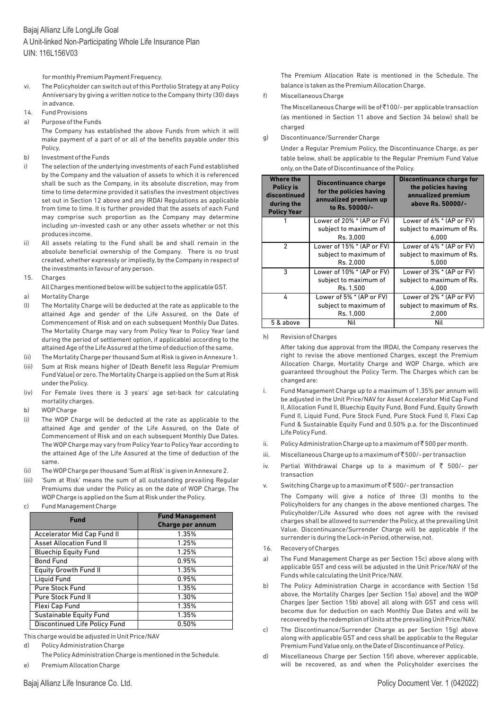for monthly Premium Payment Frequency.

- vi. The Policyholder can switch out of this Portfolio Strategy at any Policy Anniversary by giving a written notice to the Company thirty (30) days in advance.
- 14. Fund Provisions
- a) Purpose of the Funds

The Company has established the above Funds from which it will make payment of a part of or all of the benefits payable under this Policy.

- b) Investment of the Funds
- i) The selection of the underlying investments of each Fund established by the Company and the valuation of assets to which it is referenced shall be such as the Company, in its absolute discretion, may from time to time determine provided it satisfies the investment objectives set out in Section 12 above and any IRDAI Regulations as applicable from time to time. It is further provided that the assets of each Fund may comprise such proportion as the Company may determine including un-invested cash or any other assets whether or not this produces income.
- ii) All assets relating to the Fund shall be and shall remain in the absolute beneficial ownership of the Company. There is no trust created, whether expressly or impliedly, by the Company in respect of the investments in favour of any person.
- 15. Charges

All Charges mentioned below will be subject to the applicable GST.

- a) Mortality Charge
- (I) The Mortality Charge will be deducted at the rate as applicable to the attained Age and gender of the Life Assured, on the Date of Commencement of Risk and on each subsequent Monthly Due Dates. The Mortality Charge may vary from Policy Year to Policy Year (and during the period of settlement option, if applicable) according to the attained Age of the Life Assured at the time of deduction of the same.
- (ii) The Mortality Charge per thousand Sum at Risk is given in Annexure 1.
- (iii) Sum at Risk means higher of [Death Benefit less Regular Premium Fund Value] or zero.The Mortality Charge is applied on the Sum at Risk under the Policy.
- (iv) For Female lives there is 3 years' age set-back for calculating mortality charges.
- b) WOP Charge
- (i) The WOP Charge will be deducted at the rate as applicable to the attained Age and gender of the Life Assured, on the Date of Commencement of Risk and on each subsequent Monthly Due Dates. The WOP Charge may vary from Policy Year to Policy Year according to the attained Age of the Life Assured at the time of deduction of the same.
- (ii) The WOP Charge per thousand 'Sum at Risk' is given in Annexure 2.
- (iii) 'Sum at Risk' means the sum of all outstanding prevailing Regular Premiums due under the Policy as on the date of WOP Charge. The WOP Charge is applied on the Sum at Risk under the Policy.

#### c) Fund Management Charge

| <b>Fund</b>                     | <b>Fund Management</b><br><b>Charge per annum</b> |
|---------------------------------|---------------------------------------------------|
| Accelerator Mid Cap Fund II     | 1.35%                                             |
| <b>Asset Allocation Fund II</b> | 1.25%                                             |
| <b>Bluechip Equity Fund</b>     | 1.25%                                             |
| <b>Bond Fund</b>                | 0.95%                                             |
| <b>Equity Growth Fund II</b>    | 1.35%                                             |
| Liquid Fund                     | 0.95%                                             |
| <b>Pure Stock Fund</b>          | 1.35%                                             |
| <b>Pure Stock Fund II</b>       | 1.30%                                             |
| Flexi Cap Fund                  | 1.35%                                             |
| <b>Sustainable Equity Fund</b>  | 1.35%                                             |
| Discontinued Life Policy Fund   | 0.50%                                             |

This charge would be adjusted in Unit Price/NAV

d) Policy Administration Charge

- The Policy Administration Charge is mentioned in the Schedule.
- e) Premium Allocation Charge

The Premium Allocation Rate is mentioned in the Schedule. The balance is taken as the Premium Allocation Charge.

f) Miscellaneous Charge

The Miscellaneous Charge will be of ₹100/- per applicable transaction (as mentioned in Section 11 above and Section 34 below) shall be charged

g) Discontinuance/Surrender Charge

Under a Regular Premium Policy, the Discontinuance Charge, as per table below, shall be applicable to the Regular Premium Fund Value only,on the Date of Discontinuance of the Policy.

| <b>Where the</b><br><b>Policy is</b><br>discontinued<br>during the<br><b>Policy Year</b> | <b>Discontinuance charge</b><br>for the policies having<br>annualized premium up<br>to Rs. 50000/- | <b>Discontinuance charge for</b><br>the policies having<br>annualized premium<br>above Rs. 50000/- |
|------------------------------------------------------------------------------------------|----------------------------------------------------------------------------------------------------|----------------------------------------------------------------------------------------------------|
|                                                                                          | Lower of 20% * (AP or FV)                                                                          | Lower of 6% * (AP or FV)                                                                           |
|                                                                                          | subject to maximum of                                                                              | subject to maximum of Rs.                                                                          |
|                                                                                          | Rs. 3.000                                                                                          | 6.000                                                                                              |
| 2                                                                                        | Lower of 15% * (AP or FV)                                                                          | Lower of 4% * (AP or FV)                                                                           |
|                                                                                          | subject to maximum of                                                                              | subject to maximum of Rs.                                                                          |
|                                                                                          | Rs. 2,000                                                                                          | 5.000                                                                                              |
| 3                                                                                        | Lower of 10% * (AP or FV)                                                                          | Lower of 3% * (AP or FV)                                                                           |
|                                                                                          | subject to maximum of                                                                              | subject to maximum of Rs.                                                                          |
|                                                                                          | Rs. 1.500                                                                                          | 4.000                                                                                              |
| 4                                                                                        | Lower of 5% * (AP or FV)                                                                           | Lower of 2% * (AP or FV)                                                                           |
|                                                                                          | subject to maximum of                                                                              | subject to maximum of Rs.                                                                          |
|                                                                                          | Rs. 1,000                                                                                          | 2,000                                                                                              |
| 5 & above                                                                                | Nil                                                                                                | Nil                                                                                                |

h) Revision of Charges

After taking due approval from the IRDAI, the Company reserves the right to revise the above mentioned Charges, except the Premium Allocation Charge, Mortality Charge and WOP Charge, which are guaranteed throughout the Policy Term. The Charges which can be changed are:

- i. Fund Management Charge up to a maximum of 1.35% per annum will be adjusted in the Unit Price/NAV for Asset Accelerator Mid Cap Fund II, Allocation Fund II, Bluechip Equity Fund, Bond Fund, Equity Growth Fund II, Liquid Fund, Pure Stock Fund, Pure Stock Fund II, Flexi Cap Fund & Sustainable Equity Fund and 0.50% p.a. for the Discontinued Life Policy Fund.
- ii. Policy Administration Charge up to a maximum of  $\bar{z}$  500 per month.
- iii. Miscellaneous Charge up to a maximum of  $\bar{z}$  500/-per transaction
- iv. Partial Withdrawal Charge up to a maximum of  $\bar{z}$  500/- per transaction
- v. Switching Charge up to a maximum of  $\bar{z}$  500/-per transaction
- The Company will give a notice of three (3) months to the Policyholders for any changes in the above mentioned charges. The Policyholder/Life Assured who does not agree with the revised charges shall be allowed to surrender the Policy, at the prevailing Unit Value. Discontinuance/Surrender Charge will be applicable if the surrender is during the Lock-in Period, otherwise, not.
- 16. Recovery of Charges
- a) The Fund Management Charge as per Section 15c) above along with applicable GST and cess will be adjusted in the Unit Price/NAV of the Funds while calculating the Unit Price/NAV.
- b) The Policy Administration Charge in accordance with Section 15d above, the Mortality Charges [per Section 15a) above] and the WOP Charges [per Section 15b) above] all along with GST and cess will become due for deduction on each Monthly Due Dates and will be recovered by the redemption of Units at the prevailing Unit Price/NAV.
- c) The Discontinuance/Surrender Charge as per Section 15g) above along with applicable GST and cess shall be applicable to the Regular Premium Fund Value only,on the Date of Discontinuance of Policy.
- d) Miscellaneous Charge per Section 15f) above, wherever applicable, will be recovered, as and when the Policyholder exercises the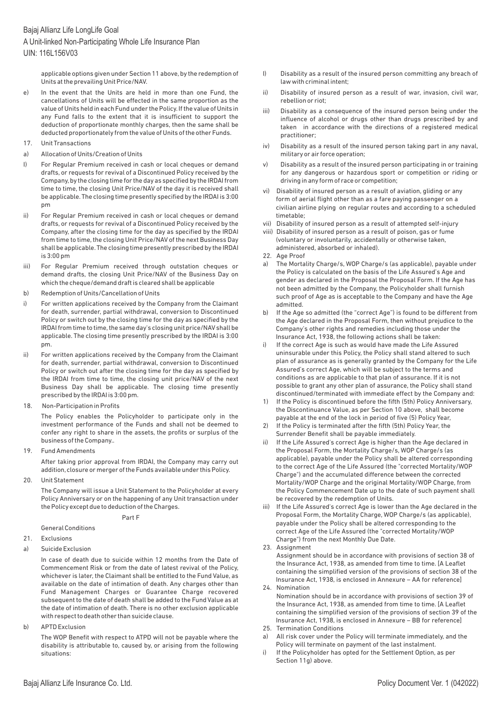applicable options given under Section 11 above,by the redemption of Units at the prevailing Unit Price/NAV.

- e) In the event that the Units are held in more than one Fund, the cancellations of Units will be effected in the same proportion as the value of Units held in each Fund under the Policy. If the value of Units in any Fund falls to the extent that it is insufficient to support the deduction of proportionate monthly charges, then the same shall be deducted proportionately from the value of Units of the other Funds.
- 17. Unit Transactions
- a) Allocation of Units/Creation of Units
- I) For Regular Premium received in cash or local cheques or demand drafts, or requests for revival of a Discontinued Policy received by the Company,by the closing time for the day as specified by the IRDAI from time to time, the closing Unit Price/NAV of the day it is received shall be applicable.The closing time presently specified by the IRDAI is 3:00 pm
- ii) For Regular Premium received in cash or local cheques or demand drafts, or requests for revival of a Discontinued Policy received by the Company, after the closing time for the day as specified by the IRDAI from time to time, the closing Unit Price/NAV of the next Business Dav shall be applicable.The closing time presently prescribed by the IRDAI is  $3:00$  pm
- iii) For Regular Premium received through outstation cheques or demand drafts, the closing Unit Price/NAV of the Business Day on which the cheque/demand draft is cleared shall be applicable
- b) Redemption of Units/Cancellation of Units
- i) For written applications received by the Company from the Claimant for death, surrender, partial withdrawal, conversion to Discontinued Policy or switch out by the closing time for the day as specified by the IRDAI from time to time, the same day's closing unit price/NAV shall be applicable. The closing time presently prescribed by the IRDAI is 3:00 pm.
- ii) For written applications received by the Company from the Claimant for death, surrender, partial withdrawal, conversion to Discontinued Policy or switch out after the closing time for the day as specified by the IRDAI from time to time, the closing unit price/NAV of the next Business Day shall be applicable. The closing time presently prescribed by the IRDAI is 3:00 pm.
- 18. Non-Participation in Profits

The Policy enables the Policyholder to participate only in the investment performance of the Funds and shall not be deemed to confer any right to share in the assets, the profits or surplus of the business of the Company..

19. Fund Amendments

After taking prior approval from IRDAI, the Company may carry out addition, closure or merger of the Funds available under this Policy.

20. Unit Statement

The Company will issue a Unit Statement to the Policyholder at every Policy Anniversary or on the happening of any Unit transaction under the Policy except due to deduction of the Charges.

Part F

- General Conditions
- 21 Exclusions
- a) Suicide Exclusion

In case of death due to suicide within 12 months from the Date of Commencement Risk or from the date of latest revival of the Policy, whichever is later, the Claimant shall be entitled to the Fund Value, as available on the date of intimation of death. Any charges other than Fund Management Charges or Guarantee Charge recovered subsequent to the date of death shall be added to the Fund Value as at the date of intimation of death. There is no other exclusion applicable with respect to death other than suicide clause.

b) APTD Exclusion

The WOP Benefit with respect to ATPD will not be payable where the disability is attributable to, caused by, or arising from the following situations:

- I) Disability as a result of the insured person committing any breach of law with criminal intent;
- ii) Disability of insured person as a result of war, invasion, civil war, rebellion or riot;
- iii) Disability as a consequence of the insured person being under the influence of alcohol or drugs other than drugs prescribed by and taken in accordance with the directions of a registered medical practitioner;
- iv) Disability as a result of the insured person taking part in any naval, military or air force operation;
- v) Disability as a result of the insured person participating in or training for any dangerous or hazardous sport or competition or riding or driving in any form of race or competition;
- vi) Disability of insured person as a result of aviation, gliding or any form of aerial flight other than as a fare paying passenger on a civilian airline plying on regular routes and according to a scheduled timetable;
- vii) Disability of insured person as a result of attempted self-injury
- viii) Disability of insured person as a result of poison, gas or fume (voluntary or involuntarily, accidentally or otherwise taken, administered, absorbed or inhaled).
- 22. Age Proof<br>a) The Morta
- The Mortality Charge/s, WOP Charge/s (as applicable), payable under the Policy is calculated on the basis of the Life Assured's Age and gender as declared in the Proposal the Proposal Form. If the Age has not been admitted by the Company, the Policyholder shall furnish such proof of Age as is acceptable to the Company and have the Age admitted.
- b) If the Age so admitted (the "correct Age") is found to be different from the Age declared in the Proposal Form, then without prejudice to the Company's other rights and remedies including those under the Insurance Act, 1938, the following actions shall be taken:
- i) If the correct Age is such as would have made the Life Assured uninsurable under this Policy, the Policy shall stand altered to such plan of assurance as is generally granted by the Company for the Life Assured's correct Age, which will be subject to the terms and conditions as are applicable to that plan of assurance. If it is not possible to grant any other plan of assurance, the Policy shall stand discontinued/terminated with immediate effect by the Company and:
- 1) If the Policy is discontinued before the fifth (5th) Policy Anniversary, the Discontinuance Value, as per Section 10 above, shall become payable at the end of the lock in period of five (5) Policy Year,
- 2) If the Policy is terminated after the fifth (5th) Policy Year, the Surrender Benefit shall be payable immediately.
- ii) If the Life Assured's correct Age is higher than the Age declared in the Proposal Form, the Mortality Charge/s, WOP Charge/s (as applicable), payable under the Policy shall be altered corresponding to the correct Age of the Life Assured (the "corrected Mortality/WOP Charge") and the accumulated difference between the corrected Mortality/WOP Charge and the original Mortality/WOP Charge, from the Policy Commencement Date up to the date of such payment shall be recovered by the redemption of Units.
- iii) If the Life Assured's correct Age is lower than the Age declared in the Proposal Form, the Mortality Charge, WOP Charge/s (as applicable), payable under the Policy shall be altered corresponding to the correct Age of the Life Assured (the "corrected Mortality/WOP Charge") from the next Monthly Due Date.
- 23. Assignment

Assignment should be in accordance with provisions of section 38 of the Insurance Act, 1938, as amended from time to time. [A Leaflet containing the simplified version of the provisions of section 38 of the Insurance Act, 1938, is enclosed in Annexure – AA for reference] 24. Nomination

Nomination should be in accordance with provisions of section 39 of the Insurance Act, 1938, as amended from time to time. [A Leaflet containing the simplified version of the provisions of section 39 of the Insurance Act, 1938, is enclosed in Annexure – BB for reference]

- 25. Termination Conditions
- a) All risk cover under the Policy will terminate immediately, and the Policy will terminate on payment of the last instalment.
- i) If the Policyholder has opted for the Settlement Option, as per Section 11g) above.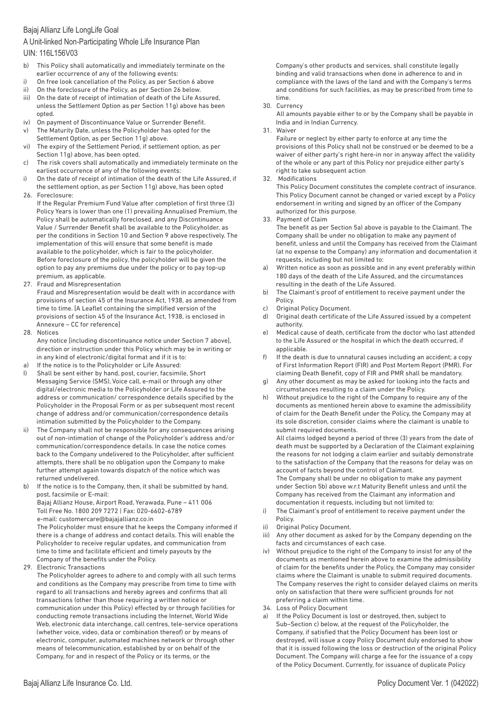## A Unit-linked Non-Participating Whole Life Insurance Plan UIN: 116L156V03

- b) This Policy shall automatically and immediately terminate on the earlier occurrence of any of the following events:
- i) On free look cancellation of the Policy, as per Section 6 above
- ii) On the foreclosure of the Policy, as per Section 26 below.
- iii) On the date of receipt of intimation of death of the Life Assured, unless the Settlement Option as per Section 11g) above has been opted.
- iv) On payment of Discontinuance Value or Surrender Benefit.
- v) The Maturity Date, unless the Policyholder has opted for the Settlement Option, as per Section 11g) above.
- vi) The expiry of the Settlement Period, if settlement option, as per Section 11g) above, has been opted.
- c) The risk covers shall automatically and immediately terminate on the earliest occurrence of any of the following events:
- i) On the date of receipt of intimation of the death of the Life Assured, if the settlement option, as per Section 11g) above, has been opted 26. Foreclosure:
- If the Regular Premium Fund Value after completion of first three (3) Policy Years is lower than one (1) prevailing Annualised Premium, the Policy shall be automatically foreclosed, and any Discontinuance Value / Surrender Benefit shall be available to the Policyholder, as per the conditions in Section 10 and Section 9 above respectively. The implementation of this will ensure that some benefit is made available to the policyholder, which is fair to the policyholder. Before foreclosure of the policy, the policyholder will be given the option to pay any premiums due under the policy or to pay top-up premium, as applicable.
- 27. Fraud and Misrepresentation Fraud and Misrepresentation would be dealt with in accordance with provisions of section 45 of the Insurance Act, 1938, as amended from time to time. [A Leaflet containing the simplified version of the provisions of section 45 of the Insurance Act, 1938, is enclosed in Annexure – CC for reference]
- 28. Notices Any notice [including discontinuance notice under Section 7 above], direction or instruction under this Policy which may be in writing or in any kind of electronic/digital format and if it is to:
- a) If the notice is to the Policyholder or Life Assured:
- I) Shall be sent either by hand, post, courier, facsimile, Short Messaging Service (SMS), Voice call, e-mail or through any other digital/electronic media to the Policyholder or Life Assured to the address or communication/ correspondence details specified by the Policyholder in the Proposal Form or as per subsequent most recent change of address and/or communication/correspondence details intimation submitted by the Policyholder to the Company.
- ii) The Company shall not be responsible for any consequences arising out of non-intimation of change of the Policyholder's address and/or communication/correspondence details. In case the notice comes back to the Company undelivered to the Policyholder, after sufficient attempts, there shall be no obligation upon the Company to make further attempt again towards dispatch of the notice which was returned undelivered.
- b) If the notice is to the Company, then, it shall be submitted by hand, post, facsimile or E-mail:

Bajaj Allianz House, Airport Road, Yerawada, Pune – 411 006 Toll Free No. 1800 209 7272 | Fax: 020-6602-6789 e-mail: customercare@bajajallianz.co.in

The Policyholder must ensure that he keeps the Company informed if

there is a change of address and contact details. This will enable the Policyholder to receive regular updates, and communication from time to time and facilitate efficient and timely payouts by the Company of the benefits under the Policy.

29. Electronic Transactions

The Policyholder agrees to adhere to and comply with all such terms and conditions as the Company may prescribe from time to time with regard to all transactions and hereby agrees and confirms that all transactions (other than those requiring a written notice or communication under this Policy) effected by or through facilities for conducting remote transactions including the Internet, World Wide Web, electronic data interchange, call centres, tele-service operations (whether voice, video, data or combination thereof) or by means of electronic, computer, automated machines network or through other means of telecommunication, established by or on behalf of the Company, for and in respect of the Policy or its terms, or the

Company's other products and services, shall constitute legally binding and valid transactions when done in adherence to and in compliance with the laws of the land and with the Company's terms and conditions for such facilities, as may be prescribed from time to time.

30. Currency

All amounts payable either to or by the Company shall be payable in India and in Indian Currency.

31. Waiver

Failure or neglect by either party to enforce at any time the provisions of this Policy shall not be construed or be deemed to be a waiver of either party's right here-in nor in anyway affect the validity of the whole or any part of this Policy nor prejudice either party's right to take subsequent action

32. Modifications

This Policy Document constitutes the complete contract of insurance. This Policy Document cannot be changed or varied except by a Policy endorsement in writing and signed by an officer of the Company authorized for this purpose.

33. Payment of Claim

The benefit as per Section 5a) above is payable to the Claimant. The Company shall be under no obligation to make any payment of benefit, unless and until the Company has received from the Claimant (at no expense to the Company) any information and documentation it requests, including but not limited to:

- a) Written notice as soon as possible and in any event preferably within 180 days of the death of the Life Assured, and the circumstances resulting in the death of the Life Assured.
- b) The Claimant's proof of entitlement to receive payment under the Policy.
- c) Original Policy Document.<br>d) Original death certificate o
- d) Original death certificate of the Life Assured issued by a competent authority.
- e) Medical cause of death, certificate from the doctor who last attended to the Life Assured or the hospital in which the death occurred, if applicable.
- f) If the death is due to unnatural causes including an accident; a copy of First Information Report (FIR) and Post Mortem Report (PMR). For claiming Death Benefit, copy of FIR and PMR shall be mandatory.
- g) Any other document as may be asked for looking into the facts and circumstances resulting to a claim under the Policy.
- h) Without prejudice to the right of the Company to require any of the documents as mentioned herein above to examine the admissibility of claim for the Death Benefit under the Policy, the Company may at its sole discretion, consider claims where the claimant is unable to submit required documents.

All claims lodged beyond a period of three (3) years from the date of death must be supported by a Declaration of the Claimant explaining the reasons for not lodging a claim earlier and suitably demonstrate to the satisfaction of the Company that the reasons for delay was on account of facts beyond the control of Claimant.

The Company shall be under no obligation to make any payment under Section 5b) above w.r.t Maturity Benefit unless and until the Company has received from the Claimant any information and documentation it requests, including but not limited to:

- i) The Claimant's proof of entitlement to receive payment under the Policy.
- ii) Original Policy Document.
- iii) Any other document as asked for by the Company depending on the facts and circumstances of each case.
- iv) Without prejudice to the right of the Company to insist for any of the documents as mentioned herein above to examine the admissibility of claim for the benefits under the Policy, the Company may consider claims where the Claimant is unable to submit required documents. The Company reserves the right to consider delayed claims on merits only on satisfaction that there were sufficient grounds for not preferring a claim within time.
- 34. Loss of Policy Document
- a) If the Policy Document is lost or destroyed, then, subject to Sub–Section c) below, at the request of the Policyholder, the Company, if satisfied that the Policy Document has been lost or destroyed, will issue a copy Policy Document duly endorsed to show that it is issued following the loss or destruction of the original Policy Document. The Company will charge a fee for the issuance of a copy of the Policy Document. Currently, for issuance of duplicate Policy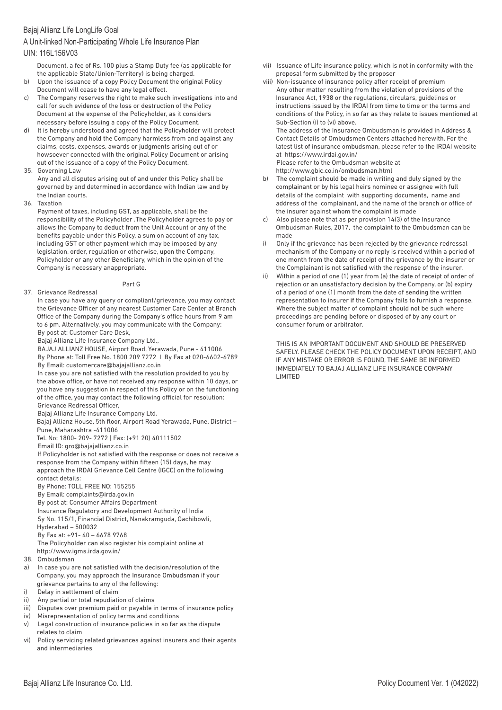## A Unit-linked Non-Participating Whole Life Insurance Plan UIN: 116L156V03

Document, a fee of Rs. 100 plus a Stamp Duty fee (as applicable for the applicable State/Union-Territory) is being charged.

- b) Upon the issuance of a copy Policy Document the original Policy Document will cease to have any legal effect.
- c) The Company reserves the right to make such investigations into and call for such evidence of the loss or destruction of the Policy Document at the expense of the Policyholder, as it considers necessary before issuing a copy of the Policy Document.
- d) It is hereby understood and agreed that the Policyholder will protect the Company and hold the Company harmless from and against any claims, costs, expenses, awards or judgments arising out of or howsoever connected with the original Policy Document or arising out of the issuance of a copy of the Policy Document.
- 35. Governing Law Any and all disputes arising out of and under this Policy shall be governed by and determined in accordance with Indian law and by the Indian courts.
- 36. Taxation

Payment of taxes, including GST, as applicable, shall be the responsibility of the Policyholder .The Policyholder agrees to pay or allows the Company to deduct from the Unit Account or any of the benefits payable under this Policy, a sum on account of any tax, including GST or other payment which may be imposed by any legislation, order, regulation or otherwise, upon the Company, Policyholder or any other Beneficiary, which in the opinion of the Company is necessary anappropriate.

#### Part G

37. Grievance Redressal

In case you have any query or compliant/grievance, you may contact the Grievance Officer of any nearest Customer Care Center at Branch Office of the Company during the Company's office hours from 9 am to 6 pm. Alternatively, you may communicate with the Company: By post at: Customer Care Desk,

Bajaj Allianz Life Insurance Company Ltd.,

BAJAJ ALLIANZ HOUSE, Airport Road, Yerawada, Pune - 411006 By Phone at: Toll Free No. 1800 209 7272 I By Fax at 020-6602-6789 By Email: customercare@bajajallianz.co.in

In case you are not satisfied with the resolution provided to you by the above office, or have not received any response within 10 days, or you have any suggestion in respect of this Policy or on the functioning of the office, you may contact the following official for resolution: Grievance Redressal Officer,

Bajaj Allianz Life Insurance Company Ltd.

 Bajaj Allianz House, 5th floor, Airport Road Yerawada, Pune, District – Pune, Maharashtra -411006

Tel. No: 1800- 209- 7272 | Fax: (+91 20) 40111502

Email ID: gro@bajajallianz.co.in

If Policyholder is not satisfied with the response or does not receive a response from the Company within fifteen (15) days, he may approach the IRDAI Grievance Cell Centre (IGCC) on the following contact details:

By Phone: TOLL FREE NO: 155255

By Email: complaints@irda.gov.in

By post at: Consumer Affairs Department

Insurance Regulatory and Development Authority of India Sy No. 115/1, Financial District, Nanakramguda, Gachibowli,

Hyderabad – 500032

By Fax at: +91- 40 – 6678 9768

The Policyholder can also register his complaint online at http://www.igms.irda.gov.in/

- 38. Ombudsman
- a) In case you are not satisfied with the decision/resolution of the Company, you may approach the Insurance Ombudsman if your grievance pertains to any of the following:
- i) Delay in settlement of claim
- ii) Any partial or total repudiation of claims
- iii) Disputes over premium paid or payable in terms of insurance policy
- iv) Misrepresentation of policy terms and conditions
- v) Legal construction of insurance policies in so far as the dispute relates to claim
- vi) Policy servicing related grievances against insurers and their agents and intermediaries
- vii) Issuance of Life insurance policy, which is not in conformity with the proposal form submitted by the proposer
- viii) Non-issuance of insurance policy after receipt of premium Any other matter resulting from the violation of provisions of the Insurance Act, 1938 or the regulations, circulars, guidelines or instructions issued by the IRDAI from time to time or the terms and conditions of the Policy, in so far as they relate to issues mentioned at Sub-Section (i) to (vi) above.

The address of the Insurance Ombudsman is provided in Address & Contact Details of Ombudsmen Centers attached herewith. For the latest list of insurance ombudsman, please refer to the IRDAI website at https://www.irdai.gov.in/ Please refer to the Ombudsman website at

http://www.gbic.co.in/ombudsman.html

- b) The complaint should be made in writing and duly signed by the complainant or by his legal heirs nominee or assignee with full details of the complaint with supporting documents, name and address of the complainant, and the name of the branch or office of the insurer against whom the complaint is made
- c) Also please note that as per provision 14(3) of the Insurance Ombudsman Rules, 2017, the complaint to the Ombudsman can be made
- Only if the grievance has been rejected by the grievance redressal mechanism of the Company or no reply is received within a period of one month from the date of receipt of the grievance by the insurer or the Complainant is not satisfied with the response of the insurer.
- ii) Within a period of one (1) year from (a) the date of receipt of order of rejection or an unsatisfactory decision by the Company, or (b) expiry of a period of one (1) month from the date of sending the written representation to insurer if the Company fails to furnish a response. Where the subject matter of complaint should not be such where proceedings are pending before or disposed of by any court or consumer forum or arbitrator.

THIS IS AN IMPORTANT DOCUMENT AND SHOULD BE PRESERVED SAFELY. PLEASE CHECK THE POLICY DOCUMENT UPON RECEIPT, AND IF ANY MISTAKE OR ERROR IS FOUND, THE SAME BE INFORMED IMMEDIATELY TO BAJAJ ALLIANZ LIFE INSURANCE COMPANY LIMITED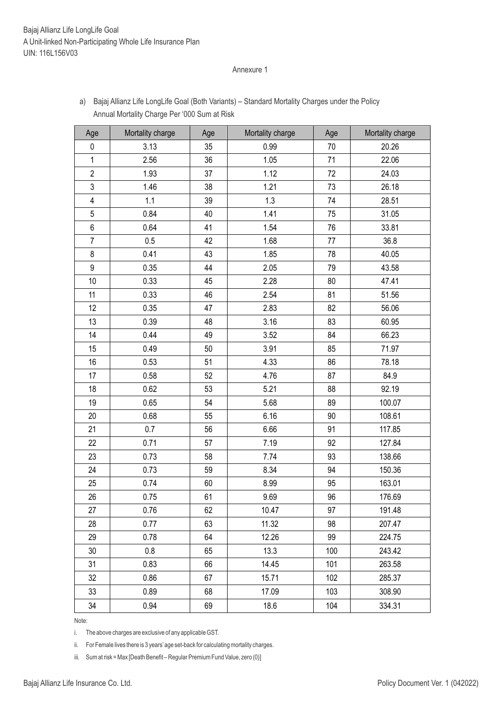#### Annexure 1

| a) Bajaj Allianz Life LongLife Goal (Both Variants) – Standard Mortality Charges under the Policy |
|---------------------------------------------------------------------------------------------------|
| Annual Mortality Charge Per '000 Sum at Risk                                                      |

| Age                       | Mortality charge | Age | Mortality charge | Age    | Mortality charge |
|---------------------------|------------------|-----|------------------|--------|------------------|
| $\pmb{0}$                 | 3.13             | 35  | 0.99             | 70     | 20.26            |
| $\mathbf 1$               | 2.56             | 36  | 1.05             | 71     | 22.06            |
| $\sqrt{2}$                | 1.93             | 37  | 1.12             | 72     | 24.03            |
| $\ensuremath{\mathsf{3}}$ | 1.46             | 38  | 1.21             | 73     | 26.18            |
| $\overline{\mathbf{4}}$   | 1.1              | 39  | 1.3              | 74     | 28.51            |
| $\sqrt{5}$                | 0.84             | 40  | 1.41             | 75     | 31.05            |
| $\,6\,$                   | 0.64             | 41  | 1.54             | 76     | 33.81            |
| $\overline{7}$            | 0.5              | 42  | 1.68             | 77     | 36.8             |
| 8                         | 0.41             | 43  | 1.85             | 78     | 40.05            |
| $\boldsymbol{9}$          | 0.35             | 44  | 2.05             | 79     | 43.58            |
| 10                        | 0.33             | 45  | 2.28             | 80     | 47.41            |
| 11                        | 0.33             | 46  | 2.54             | 81     | 51.56            |
| 12                        | 0.35             | 47  | 2.83             | 82     | 56.06            |
| 13                        | 0.39             | 48  | 3.16             | 83     | 60.95            |
| 14                        | 0.44             | 49  | 3.52             | 84     | 66.23            |
| 15                        | 0.49             | 50  | 3.91             | 85     | 71.97            |
| 16                        | 0.53             | 51  | 4.33             | 86     | 78.18            |
| 17                        | 0.58             | 52  | 4.76             | 87     | 84.9             |
| 18                        | 0.62             | 53  | 5.21             | 88     | 92.19            |
| 19                        | 0.65             | 54  | 5.68             | 89     | 100.07           |
| 20                        | 0.68             | 55  | 6.16             | $90\,$ | 108.61           |
| 21                        | 0.7              | 56  | 6.66             | 91     | 117.85           |
| 22                        | 0.71             | 57  | 7.19             | 92     | 127.84           |
| 23                        | 0.73             | 58  | 7.74             | 93     | 138.66           |
| 24                        | 0.73             | 59  | 8.34             | 94     | 150.36           |
| 25                        | 0.74             | 60  | 8.99             | 95     | 163.01           |
| 26                        | 0.75             | 61  | 9.69             | 96     | 176.69           |
| 27                        | 0.76             | 62  | 10.47            | 97     | 191.48           |
| 28                        | 0.77             | 63  | 11.32            | 98     | 207.47           |
| 29                        | 0.78             | 64  | 12.26            | 99     | 224.75           |
| 30                        | 0.8              | 65  | 13.3             | 100    | 243.42           |
| 31                        | 0.83             | 66  | 14.45            | 101    | 263.58           |
| 32                        | 0.86             | 67  | 15.71            | 102    | 285.37           |
| 33                        | 0.89             | 68  | 17.09            | 103    | 308.90           |
| 34                        | 0.94             | 69  | 18.6             | 104    | 334.31           |

Note:

i. The above charges are exclusive of any applicable GST.

ii. For Female lives there is 3 years'age set-back for calculating mortality charges.

iii. Sum at risk = Max [Death Benefit – Regular Premium Fund Value, zero (0)]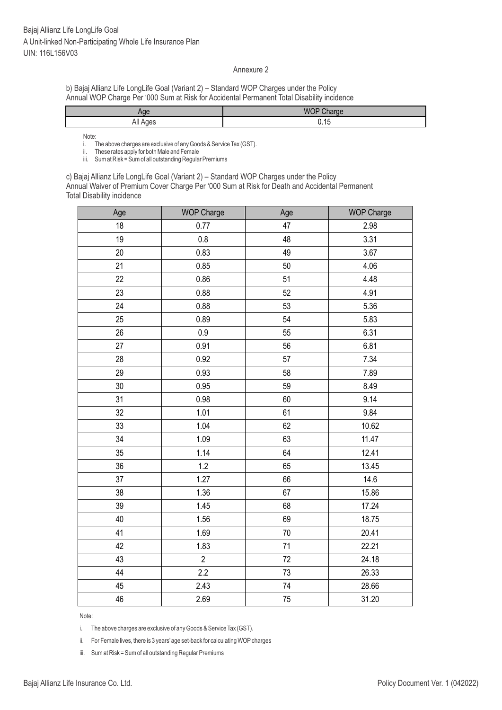#### Annexure 2

b) Bajaj Allianz Life LongLife Goal (Variant 2) - Standard WOP Charges under the Policy Annual WOP Charge Per '000 Sum at Risk for Accidental Permanent Total Disability incidence

|              | WOP Ch<br>.mr<br>ue |
|--------------|---------------------|
| $\Lambda$ II | $\cdot$ $-$         |
| וור          | <b>v.iv</b>         |

Note:

i. The above charges are exclusive of any Goods & Service Tax (GST).

ii. These rates apply for both Male and Female

iii. Sum at Risk = Sum of all outstanding Regular Premiums

c) Bajaj Allianz Life LongLife Goal (Variant 2) - Standard WOP Charges under the Policy

Annual Waiver of Premium Cover Charge Per '000 Sum at Risk for Death and Accidental Permanent Total Disability incidence

| Age | <b>WOP Charge</b> | Age | <b>WOP Charge</b> |
|-----|-------------------|-----|-------------------|
| 18  | 0.77              | 47  | 2.98              |
| 19  | 0.8               | 48  | 3.31              |
| 20  | 0.83              | 49  | 3.67              |
| 21  | 0.85              | 50  | 4.06              |
| 22  | 0.86              | 51  | 4.48              |
| 23  | 0.88              | 52  | 4.91              |
| 24  | 0.88              | 53  | 5.36              |
| 25  | 0.89              | 54  | 5.83              |
| 26  | 0.9               | 55  | 6.31              |
| 27  | 0.91              | 56  | 6.81              |
| 28  | 0.92              | 57  | 7.34              |
| 29  | 0.93              | 58  | 7.89              |
| 30  | 0.95              | 59  | 8.49              |
| 31  | 0.98              | 60  | 9.14              |
| 32  | 1.01              | 61  | 9.84              |
| 33  | 1.04              | 62  | 10.62             |
| 34  | 1.09              | 63  | 11.47             |
| 35  | 1.14              | 64  | 12.41             |
| 36  | 1.2               | 65  | 13.45             |
| 37  | 1.27              | 66  | 14.6              |
| 38  | 1.36              | 67  | 15.86             |
| 39  | 1.45              | 68  | 17.24             |
| 40  | 1.56              | 69  | 18.75             |
| 41  | 1.69              | 70  | 20.41             |
| 42  | 1.83              | 71  | 22.21             |
| 43  | $\mathbf{2}$      | 72  | 24.18             |
| 44  | 2.2               | 73  | 26.33             |
| 45  | 2.43              | 74  | 28.66             |
| 46  | 2.69              | 75  | 31.20             |

Note:

i. The above charges are exclusive of any Goods & Service Tax (GST).

ii. For Female lives, there is 3 years'age set-back for calculating WOPcharges

iii. Sum at Risk = Sum of all outstanding Regular Premiums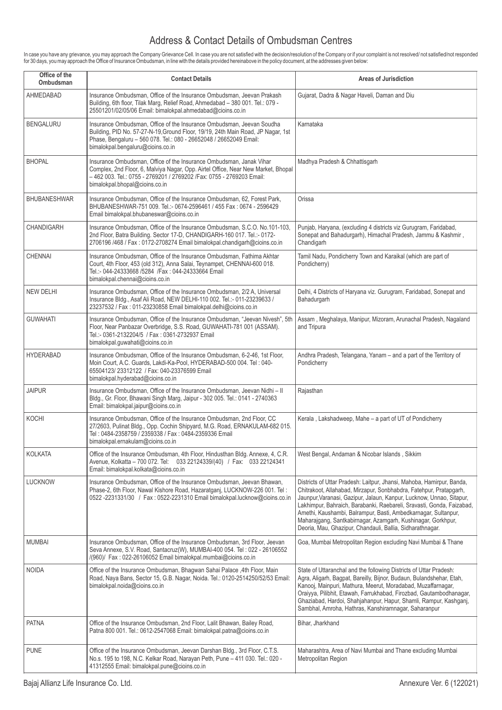## Address & Contact Details of Ombudsman Centres

In case you have any grievance, you may approach the Company Grievance Cell. In case you are not satisfied with the decision/resolution of the Company or if your complaint is not resolved/ not satisfied/not responded<br>for 3

| Office of the<br>Ombudsman | <b>Contact Details</b>                                                                                                                                                                                                                                               | <b>Areas of Jurisdiction</b>                                                                                                                                                                                                                                                                                                                                                                                                                                                                |
|----------------------------|----------------------------------------------------------------------------------------------------------------------------------------------------------------------------------------------------------------------------------------------------------------------|---------------------------------------------------------------------------------------------------------------------------------------------------------------------------------------------------------------------------------------------------------------------------------------------------------------------------------------------------------------------------------------------------------------------------------------------------------------------------------------------|
| AHMEDABAD                  | Insurance Ombudsman, Office of the Insurance Ombudsman, Jeevan Prakash<br>Building, 6th floor, Tilak Marg, Relief Road, Ahmedabad - 380 001. Tel.: 079 -<br>25501201/02/05/06 Email: bimalokpal.ahmedabad@cioins.co.in                                               | Gujarat, Dadra & Nagar Haveli, Daman and Diu                                                                                                                                                                                                                                                                                                                                                                                                                                                |
| <b>BENGALURU</b>           | Insurance Ombudsman, Office of the Insurance Ombudsman, Jeevan Soudha<br>Building, PID No. 57-27-N-19, Ground Floor, 19/19, 24th Main Road, JP Nagar, 1st<br>Phase, Bengaluru - 560 078. Tel.: 080 - 26652048 / 26652049 Email:<br>bimalokpal.bengaluru@cioins.co.in | Karnataka                                                                                                                                                                                                                                                                                                                                                                                                                                                                                   |
| <b>BHOPAL</b>              | Insurance Ombudsman, Office of the Insurance Ombudsman, Janak Vihar<br>Complex, 2nd Floor, 6, Malviya Nagar, Opp. Airtel Office, Near New Market, Bhopal<br>-462 003. Tel.: 0755 - 2769201 / 2769202 / Fax: 0755 - 2769203 Email:<br>bimalokpal.bhopal@cioins.co.in  | Madhya Pradesh & Chhattisgarh                                                                                                                                                                                                                                                                                                                                                                                                                                                               |
| <b>BHUBANESHWAR</b>        | Insurance Ombudsman, Office of the Insurance Ombudsman, 62, Forest Park,<br>BHUBANESHWAR-751 009. Tel.:- 0674-2596461 / 455 Fax: 0674 - 2596429<br>Email bimalokpal.bhubaneswar@cioins.co.in                                                                         | Orissa                                                                                                                                                                                                                                                                                                                                                                                                                                                                                      |
| CHANDIGARH                 | Insurance Ombudsman, Office of the Insurance Ombudsman, S.C.O. No.101-103,<br>2nd Floor, Batra Building. Sector 17-D, CHANDIGARH-160 017. Tel.:- 0172-<br>2706196 /468 / Fax: 0172-2708274 Email bimalokpal.chandigarh@cioins.co.in                                  | Punjab, Haryana, (excluding 4 districts viz Gurugram, Faridabad,<br>Sonepat and Bahadurgarh), Himachal Pradesh, Jammu & Kashmir,<br>Chandigarh                                                                                                                                                                                                                                                                                                                                              |
| <b>CHENNAI</b>             | Insurance Ombudsman, Office of the Insurance Ombudsman, Fathima Akhtar<br>Court, 4th Floor, 453 (old 312), Anna Salai, Teynampet, CHENNAI-600 018.<br>Tel.:- 044-24333668 /5284 /Fax: 044-24333664 Email<br>bimalokpal.chennai@cioins.co.in                          | Tamil Nadu, Pondicherry Town and Karaikal (which are part of<br>Pondicherry)                                                                                                                                                                                                                                                                                                                                                                                                                |
| <b>NEW DELHI</b>           | Insurance Ombudsman, Office of the Insurance Ombudsman, 2/2 A, Universal<br>Insurance Bldg., Asaf Ali Road, NEW DELHI-110 002. Tel.:- 011-23239633 /<br>23237532 / Fax: 011-23230858 Email bimalokpal.delhi@cioins.co.in                                             | Delhi, 4 Districts of Haryana viz. Gurugram, Faridabad, Sonepat and<br>Bahadurgarh                                                                                                                                                                                                                                                                                                                                                                                                          |
| <b>GUWAHATI</b>            | Insurance Ombudsman, Office of the Insurance Ombudsman, "Jeevan Nivesh", 5th<br>Floor, Near Panbazar Overbridge, S.S. Road, GUWAHATI-781 001 (ASSAM).<br>Tel.:- 0361-2132204/5 / Fax: 0361-2732937 Email<br>bimalokpal.guwahati@cioins.co.in                         | Assam, Meghalaya, Manipur, Mizoram, Arunachal Pradesh, Nagaland<br>and Tripura                                                                                                                                                                                                                                                                                                                                                                                                              |
| <b>HYDERABAD</b>           | Insurance Ombudsman, Office of the Insurance Ombudsman, 6-2-46, 1st Floor,<br>Moin Court, A.C. Guards, Lakdi-Ka-Pool, HYDERABAD-500 004. Tel: 040-<br>65504123/23312122 / Fax: 040-23376599 Email<br>bimalokpal.hyderabad@cioins.co.in                               | Andhra Pradesh, Telangana, Yanam - and a part of the Territory of<br>Pondicherry                                                                                                                                                                                                                                                                                                                                                                                                            |
| <b>JAIPUR</b>              | Insurance Ombudsman, Office of the Insurance Ombudsman, Jeevan Nidhi - II<br>Bldg., Gr. Floor, Bhawani Singh Marg, Jaipur - 302 005. Tel.: 0141 - 2740363<br>Email: bimalokpal.jaipur@cioins.co.in                                                                   | Rajasthan                                                                                                                                                                                                                                                                                                                                                                                                                                                                                   |
| <b>KOCHI</b>               | Insurance Ombudsman, Office of the Insurance Ombudsman, 2nd Floor, CC<br>27/2603, Pulinat Bldg., Opp. Cochin Shipyard, M.G. Road, ERNAKULAM-682 015.<br>Tel: 0484-2358759 / 2359338 / Fax: 0484-2359336 Email<br>bimalokpal.ernakulam@cioins.co.in                   | Kerala, Lakshadweep, Mahe - a part of UT of Pondicherry                                                                                                                                                                                                                                                                                                                                                                                                                                     |
| <b>KOLKATA</b>             | Office of the Insurance Ombudsman, 4th Floor, Hindusthan Bldg. Annexe, 4, C.R.<br>Avenue, Kolkatta - 700 072. Tel: 033 22124339/(40) / Fax: 033 22124341<br>Email: bimalokpal.kolkata@cioins.co.in                                                                   | West Bengal, Andaman & Nicobar Islands, Sikkim                                                                                                                                                                                                                                                                                                                                                                                                                                              |
| <b>LUCKNOW</b>             | Insurance Ombudsman, Office of the Insurance Ombudsman, Jeevan Bhawan,<br>Phase-2, 6th Floor, Nawal Kishore Road, Hazaratganj, LUCKNOW-226 001. Tel:<br>0522 -2231331/30 / Fax: 0522-2231310 Email bimalokpal.lucknow@cioins.co.in                                   | Districts of Uttar Pradesh: Laitpur, Jhansi, Mahoba, Hamirpur, Banda,<br>Chitrakoot, Allahabad, Mirzapur, Sonbhabdra, Fatehpur, Pratapgarh,<br>Jaunpur, Varanasi, Gazipur, Jalaun, Kanpur, Lucknow, Unnao, Sitapur,<br>Lakhimpur, Bahraich, Barabanki, Raebareli, Sravasti, Gonda, Faizabad,<br>Amethi, Kaushambi, Balrampur, Basti, Ambedkarnagar, Sultanpur,<br>Maharajgang, Santkabirnagar, Azamgarh, Kushinagar, Gorkhpur,<br>Deoria, Mau, Ghazipur, Chandauli, Ballia, Sidharathnagar. |
| <b>MUMBAI</b>              | Insurance Ombudsman, Office of the Insurance Ombudsman, 3rd Floor, Jeevan<br>Seva Annexe, S.V. Road, Santacruz(W), MUMBAI-400 054. Tel: 022 - 26106552<br>/(960)/ Fax: 022-26106052 Email bimalokpal.mumbai@cioins.co.in                                             | Goa, Mumbai Metropolitan Region excluding Navi Mumbai & Thane                                                                                                                                                                                                                                                                                                                                                                                                                               |
| <b>NOIDA</b>               | Office of the Insurance Ombudsman, Bhagwan Sahai Palace ,4th Floor, Main<br>Road, Naya Bans, Sector 15, G.B. Nagar, Noida. Tel.: 0120-2514250/52/53 Email:<br>bimalokpal.noida@cioins.co.in                                                                          | State of Uttaranchal and the following Districts of Uttar Pradesh:<br>Agra, Aligarh, Bagpat, Bareilly, Bijnor, Budaun, Bulandshehar, Etah,<br>Kanooj, Mainpuri, Mathura, Meerut, Moradabad, Muzaffarnagar,<br>Oraiyya, Pilibhit, Etawah, Farrukhabad, Firozbad, Gautambodhanagar,<br>Ghaziabad, Hardoi, Shahjahanpur, Hapur, Shamli, Rampur, Kashganj,<br>Sambhal, Amroha, Hathras, Kanshiramnagar, Saharanpur                                                                              |
| <b>PATNA</b>               | Office of the Insurance Ombudsman, 2nd Floor, Lalit Bhawan, Bailey Road,<br>Patna 800 001. Tel.: 0612-2547068 Email: bimalokpal.patna@cioins.co.in                                                                                                                   | Bihar, Jharkhand                                                                                                                                                                                                                                                                                                                                                                                                                                                                            |
| <b>PUNE</b>                | Office of the Insurance Ombudsman, Jeevan Darshan Bldg., 3rd Floor, C.T.S.<br>No.s. 195 to 198, N.C. Kelkar Road, Narayan Peth, Pune - 411 030. Tel.: 020 -<br>41312555 Email: bimalokpal.pune@cioins.co.in                                                          | Maharashtra, Area of Navi Mumbai and Thane excluding Mumbai<br>Metropolitan Region                                                                                                                                                                                                                                                                                                                                                                                                          |